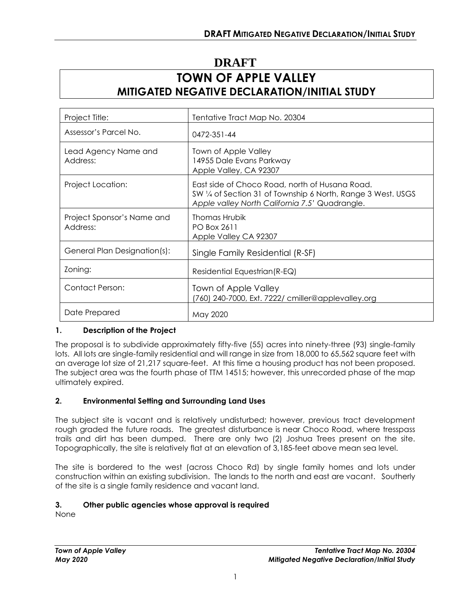# **DRAFT TOWN OF APPLE VALLEY MITIGATED NEGATIVE DECLARATION/INITIAL STUDY**

| Project Title:                         | Tentative Tract Map No. 20304                                                                                                                                    |
|----------------------------------------|------------------------------------------------------------------------------------------------------------------------------------------------------------------|
| Assessor's Parcel No.                  | 0472-351-44                                                                                                                                                      |
| Lead Agency Name and<br>Address:       | Town of Apple Valley<br>14955 Dale Evans Parkway<br>Apple Valley, CA 92307                                                                                       |
| Project Location:                      | East side of Choco Road, north of Husana Road.<br>SW 1/4 of Section 31 of Township 6 North, Range 3 West. USGS<br>Apple valley North California 7.5' Quadrangle. |
| Project Sponsor's Name and<br>Address: | Thomas Hrubik<br><b>PO Box 2611</b><br>Apple Valley CA 92307                                                                                                     |
| General Plan Designation(s):           | Single Family Residential (R-SF)                                                                                                                                 |
| Zoning:                                | Residential Equestrian (R-EQ)                                                                                                                                    |
| Contact Person:                        | Town of Apple Valley<br>(760) 240-7000, Ext. 7222/ cmiller@applevalley.org                                                                                       |
| Date Prepared                          | May 2020                                                                                                                                                         |

## **1. Description of the Project**

The proposal is to subdivide approximately fifty-five (55) acres into ninety-three (93) single-family lots. All lots are single-family residential and will range in size from 18,000 to 65,562 square feet with an average lot size of 21,217 square-feet. At this time a housing product has not been proposed. The subject area was the fourth phase of TTM 14515; however, this unrecorded phase of the map ultimately expired.

#### **2. Environmental Setting and Surrounding Land Uses**

The subject site is vacant and is relatively undisturbed; however, previous tract development rough graded the future roads. The greatest disturbance is near Choco Road, where tresspass trails and dirt has been dumped. There are only two (2) Joshua Trees present on the site. Topographically, the site is relatively flat at an elevation of 3,185-feet above mean sea level.

The site is bordered to the west (across Choco Rd) by single family homes and lots under construction within an existing subdivision. The lands to the north and east are vacant. Southerly of the site is a single family residence and vacant land.

#### **3. Other public agencies whose approval is required**

None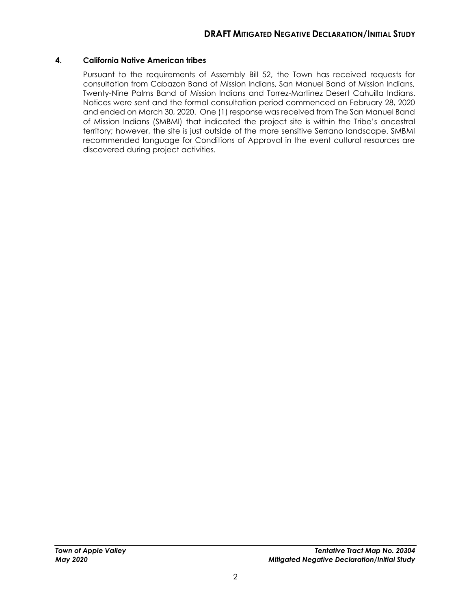#### **4. California Native American tribes**

Pursuant to the requirements of Assembly Bill 52, the Town has received requests for consultation from Cabazon Band of Mission Indians, San Manuel Band of Mission Indians, Twenty-Nine Palms Band of Mission Indians and Torrez-Martinez Desert Cahuilla Indians. Notices were sent and the formal consultation period commenced on February 28, 2020 and ended on March 30, 2020. One (1) response was received from The San Manuel Band of Mission Indians (SMBMI) that indicated the project site is within the Tribe's ancestral territory; however, the site is just outside of the more sensitive Serrano landscape. SMBMI recommended language for Conditions of Approval in the event cultural resources are discovered during project activities.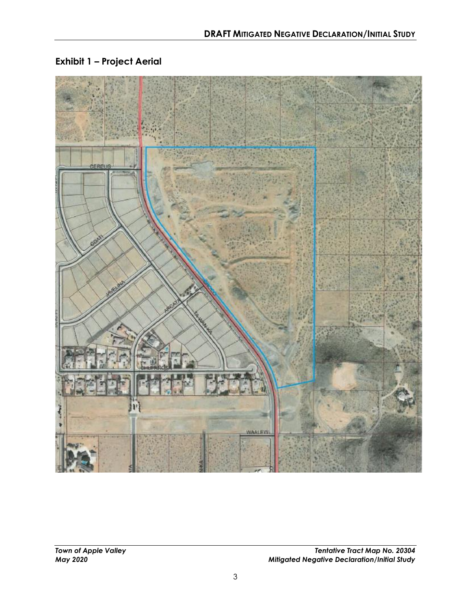

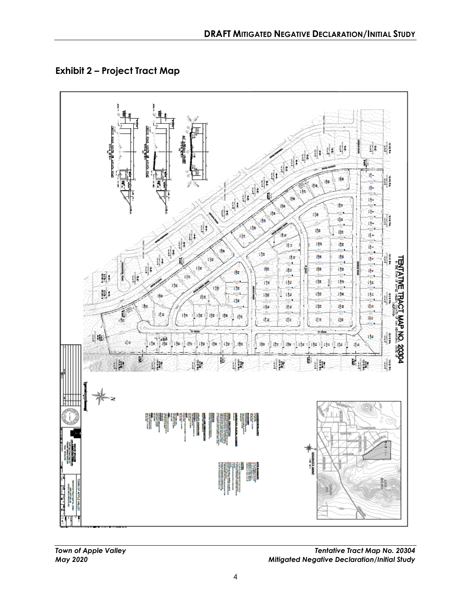**Exhibit 2 – Project Tract Map**



*Town of Apple Valley Tentative Tract Map No. 20304 May 2020 Mitigated Negative Declaration/Initial Study*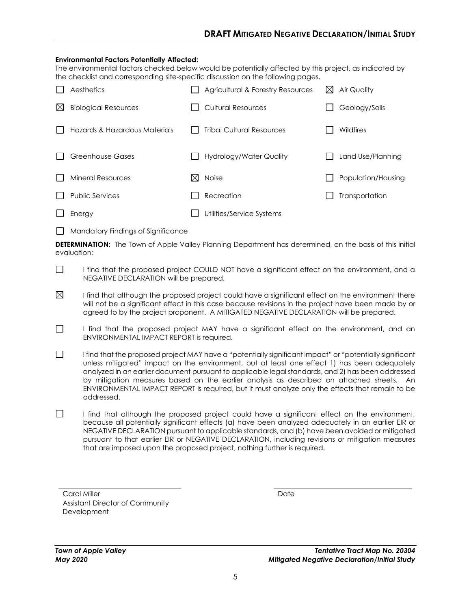#### **Environmental Factors Potentially Affected:**

The environmental factors checked below would be potentially affected by this project, as indicated by the checklist and corresponding site-specific discussion on the following pages.

|   | Aesthetics                    |     | Agricultural & Forestry Resources | ᢂ | Air Quality        |
|---|-------------------------------|-----|-----------------------------------|---|--------------------|
| ⊠ | <b>Biological Resources</b>   |     | <b>Cultural Resources</b>         |   | Geology/Soils      |
|   | Hazards & Hazardous Materials |     | <b>Tribal Cultural Resources</b>  |   | Wildfires          |
|   | <b>Greenhouse Gases</b>       |     | Hydrology/Water Quality           |   | Land Use/Planning  |
|   | <b>Mineral Resources</b>      | IХI | <b>Noise</b>                      |   | Population/Housing |
|   | <b>Public Services</b>        |     | Recreation                        |   | Transportation     |
|   | Energy                        |     | Utilities/Service Systems         |   |                    |

 $\Box$  Mandatory Findings of Significance

**DETERMINATION:** The Town of Apple Valley Planning Department has determined, on the basis of this initial evaluation:

- $\Box$ I find that the proposed project COULD NOT have a significant effect on the environment, and a NEGATIVE DECLARATION will be prepared.
- $\boxtimes$ I find that although the proposed project could have a significant effect on the environment there will not be a significant effect in this case because revisions in the project have been made by or agreed to by the project proponent. A MITIGATED NEGATIVE DECLARATION will be prepared.
- $\Box$ I find that the proposed project MAY have a significant effect on the environment, and an ENVIRONMENTAL IMPACT REPORT is required.
- $\Box$ I find that the proposed project MAY have a "potentially significant impact" or "potentially significant unless mitigated" impact on the environment, but at least one effect 1) has been adequately analyzed in an earlier document pursuant to applicable legal standards, and 2) has been addressed by mitigation measures based on the earlier analysis as described on attached sheets. An ENVIRONMENTAL IMPACT REPORT is required, but it must analyze only the effects that remain to be addressed.
- $\Box$ I find that although the proposed project could have a significant effect on the environment, because all potentially significant effects (a) have been analyzed adequately in an earlier EIR or NEGATIVE DECLARATION pursuant to applicable standards, and (b) have been avoided or mitigated pursuant to that earlier EIR or NEGATIVE DECLARATION, including revisions or mitigation measures that are imposed upon the proposed project, nothing further is required.

Carol Miller Date Assistant Director of Community **Development** 

*Town of Apple Valley Tentative Tract Map No. 20304 May 2020 Mitigated Negative Declaration/Initial Study*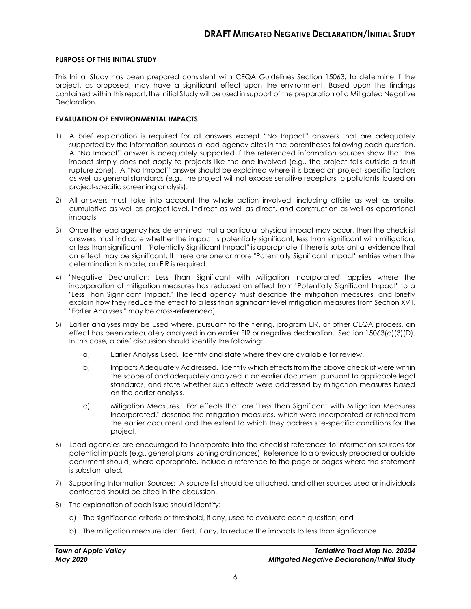#### **PURPOSE OF THIS INITIAL STUDY**

This Initial Study has been prepared consistent with CEQA Guidelines Section 15063, to determine if the project, as proposed, may have a significant effect upon the environment. Based upon the findings contained within this report, the Initial Study will be used in support of the preparation of a Mitigated Negative Declaration.

#### **EVALUATION OF ENVIRONMENTAL IMPACTS**

- 1) A brief explanation is required for all answers except "No Impact" answers that are adequately supported by the information sources a lead agency cites in the parentheses following each question. A "No Impact" answer is adequately supported if the referenced information sources show that the impact simply does not apply to projects like the one involved (e.g., the project falls outside a fault rupture zone). A "No Impact" answer should be explained where it is based on project-specific factors as well as general standards (e.g., the project will not expose sensitive receptors to pollutants, based on project-specific screening analysis).
- 2) All answers must take into account the whole action involved, including offsite as well as onsite, cumulative as well as project-level, indirect as well as direct, and construction as well as operational impacts.
- 3) Once the lead agency has determined that a particular physical impact may occur, then the checklist answers must indicate whether the impact is potentially significant, less than significant with mitigation, or less than significant. "Potentially Significant Impact" is appropriate if there is substantial evidence that an effect may be significant. If there are one or more "Potentially Significant Impact" entries when the determination is made, an EIR is required.
- 4) "Negative Declaration: Less Than Significant with Mitigation Incorporated" applies where the incorporation of mitigation measures has reduced an effect from "Potentially Significant Impact" to a "Less Than Significant Impact." The lead agency must describe the mitigation measures, and briefly explain how they reduce the effect to a less than significant level mitigation measures from Section XVII, "Earlier Analyses," may be cross-referenced).
- 5) Earlier analyses may be used where, pursuant to the tiering, program EIR, or other CEQA process, an effect has been adequately analyzed in an earlier EIR or negative declaration. Section 15063(c)(3)(D). In this case, a brief discussion should identify the following:
	- a) Earlier Analysis Used. Identify and state where they are available for review.
	- b) Impacts Adequately Addressed. Identify which effects from the above checklist were within the scope of and adequately analyzed in an earlier document pursuant to applicable legal standards, and state whether such effects were addressed by mitigation measures based on the earlier analysis.
	- c) Mitigation Measures. For effects that are "Less than Significant with Mitigation Measures Incorporated," describe the mitigation measures, which were incorporated or refined from the earlier document and the extent to which they address site-specific conditions for the project.
- 6) Lead agencies are encouraged to incorporate into the checklist references to information sources for potential impacts (e.g., general plans, zoning ordinances). Reference to a previously prepared or outside document should, where appropriate, include a reference to the page or pages where the statement is substantiated.
- 7) Supporting Information Sources: A source list should be attached, and other sources used or individuals contacted should be cited in the discussion.
- 8) The explanation of each issue should identify:
	- a) The significance criteria or threshold, if any, used to evaluate each question; and
	- b) The mitigation measure identified, if any, to reduce the impacts to less than significance.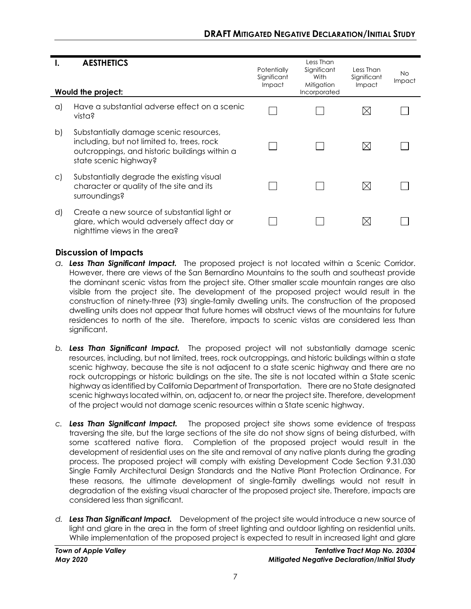| ъ.      | <b>AESTHETICS</b><br>Would the project:                                                                                                                        | Potentially<br>Significant<br><b>Impact</b> | Less Than<br>Significant<br>With<br>Mitigation<br>Incorporated | Less Than<br>Significant<br>Impact | No.<br>Impact |
|---------|----------------------------------------------------------------------------------------------------------------------------------------------------------------|---------------------------------------------|----------------------------------------------------------------|------------------------------------|---------------|
| a)      | Have a substantial adverse effect on a scenic<br>vista?                                                                                                        |                                             |                                                                | X                                  |               |
| b)      | Substantially damage scenic resources,<br>including, but not limited to, trees, rock<br>outcroppings, and historic buildings within a<br>state scenic highway? |                                             |                                                                | ⊠                                  |               |
| $\circ$ | Substantially degrade the existing visual<br>character or quality of the site and its<br>surroundings?                                                         |                                             |                                                                | X                                  |               |
| d)      | Create a new source of substantial light or<br>glare, which would adversely affect day or<br>nighttime views in the area?                                      |                                             |                                                                |                                    |               |

- *a. Less Than Significant Impact.* The proposed project is not located within a Scenic Corridor. However, there are views of the San Bernardino Mountains to the south and southeast provide the dominant scenic vistas from the project site. Other smaller scale mountain ranges are also visible from the project site. The development of the proposed project would result in the construction of ninety-three (93) single-family dwelling units. The construction of the proposed dwelling units does not appear that future homes will obstruct views of the mountains for future residences to north of the site. Therefore, impacts to scenic vistas are considered less than sianificant.
- *b. Less Than Significant Impact.* The proposed project will not substantially damage scenic resources, including, but not limited, trees, rock outcroppings, and historic buildings within a state scenic highway, because the site is not adjacent to a state scenic highway and there are no rock outcroppings or historic buildings on the site. The site is not located within a State scenic highway as identified by California Department of Transportation. There are no State designated scenic highways located within, on, adjacent to, or near the project site. Therefore, development of the project would not damage scenic resources within a State scenic highway.
- *c. Less Than Significant Impact.* The proposed project site shows some evidence of trespass traversing the site, but the large sections of the site do not show signs of being disturbed, with some scattered native flora. Completion of the proposed project would result in the development of residential uses on the site and removal of any native plants during the grading process. The proposed project will comply with existing Development Code Section 9.31.030 Single Family Architectural Design Standards and the Native Plant Protection Ordinance. For these reasons, the ultimate development of single-family dwellings would not result in degradation of the existing visual character of the proposed project site. Therefore, impacts are considered less than significant.
- d. **Less Than Significant Impact.** Development of the project site would introduce a new source of light and glare in the area in the form of street lighting and outdoor lighting on residential units. While implementation of the proposed project is expected to result in increased light and glare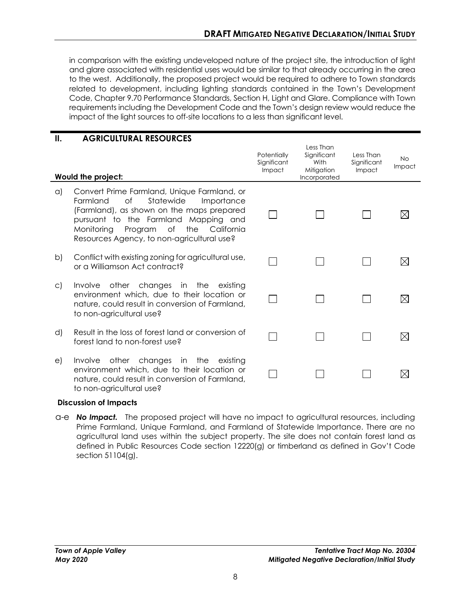in comparison with the existing undeveloped nature of the project site, the introduction of light and glare associated with residential uses would be similar to that already occurring in the area to the west. Additionally, the proposed project would be required to adhere to Town standards related to development, including lighting standards contained in the Town's Development Code, Chapter 9.70 Performance Standards, Section H, Light and Glare. Compliance with Town requirements including the Development Code and the Town's design review would reduce the impact of the light sources to off-site locations to a less than significant level.

| Ш.           | <b>AGRICULTURAL RESOURCES</b>                                                                                                                                                                                                                                                      |                                      |                                                                |                                    |                     |
|--------------|------------------------------------------------------------------------------------------------------------------------------------------------------------------------------------------------------------------------------------------------------------------------------------|--------------------------------------|----------------------------------------------------------------|------------------------------------|---------------------|
|              | Would the project:                                                                                                                                                                                                                                                                 | Potentially<br>Significant<br>Impact | Less Than<br>Significant<br>With<br>Mitigation<br>Incorporated | Less Than<br>Significant<br>Impact | <b>No</b><br>Impact |
| $\alpha$     | Convert Prime Farmland, Unique Farmland, or<br>Statewide<br>Farmland<br>Οf<br>Importance<br>(Farmland), as shown on the maps prepared<br>pursuant to the Farmland<br>Mapping and<br>of<br>the<br>California<br>Monitorina<br>Program<br>Resources Agency, to non-agricultural use? |                                      |                                                                |                                    |                     |
| b)           | Conflict with existing zoning for agricultural use,<br>or a Williamson Act contract?                                                                                                                                                                                               |                                      |                                                                |                                    |                     |
| $\mathsf{C}$ | Involve other changes in the existing<br>environment which, due to their location or<br>nature, could result in conversion of Farmland,<br>to non-agricultural use?                                                                                                                |                                      |                                                                |                                    | ⊠                   |
| d)           | Result in the loss of forest land or conversion of<br>forest land to non-forest use?                                                                                                                                                                                               |                                      |                                                                |                                    | $\boxtimes$         |
| e)           | other changes<br>in the<br>existing<br><i>Involve</i><br>environment which, due to their location or<br>nature, could result in conversion of Farmland,<br>to non-agricultural use?                                                                                                |                                      |                                                                |                                    |                     |

#### **Discussion of Impacts**

a-e *No Impact.* The proposed project will have no impact to agricultural resources, including Prime Farmland, Unique Farmland, and Farmland of Statewide Importance. There are no agricultural land uses within the subject property. The site does not contain forest land as defined in Public Resources Code section 12220(g) or timberland as defined in Gov't Code section 51104(g).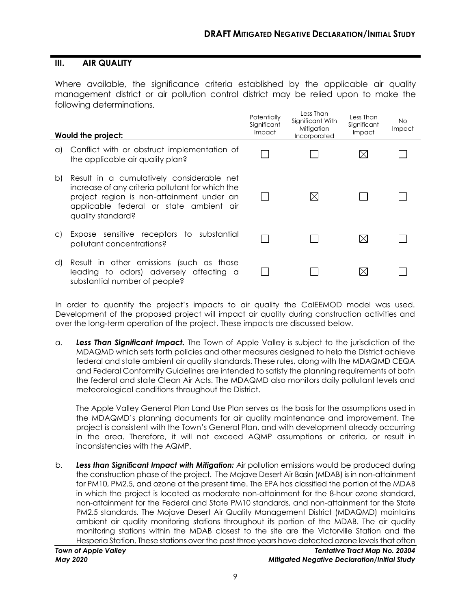# **III. AIR QUALITY**

Where available, the significance criteria established by the applicable air quality management district or air pollution control district may be relied upon to make the following determinations.

|              | Would the project:                                                                                                                                                                                         | Potentially<br>Significant<br><b>Impact</b> | Less Than<br>Significant With<br>Mitigation<br>Incorporated | Less Than<br>Significant<br>Impact | No<br>Impact |
|--------------|------------------------------------------------------------------------------------------------------------------------------------------------------------------------------------------------------------|---------------------------------------------|-------------------------------------------------------------|------------------------------------|--------------|
| a)           | Conflict with or obstruct implementation of<br>the applicable air quality plan?                                                                                                                            |                                             |                                                             |                                    |              |
| b)           | Result in a cumulatively considerable net<br>increase of any criteria pollutant for which the<br>project region is non-attainment under an<br>applicable federal or state ambient air<br>quality standard? |                                             | M                                                           |                                    |              |
| $\mathsf{C}$ | Expose sensitive receptors to substantial<br>pollutant concentrations?                                                                                                                                     |                                             |                                                             | M                                  |              |
| d)           | Result in other emissions (such as those<br>leading to odors) adversely affecting a<br>substantial number of people?                                                                                       |                                             |                                                             |                                    |              |

In order to quantify the project's impacts to air quality the CalEEMOD model was used. Development of the proposed project will impact air quality during construction activities and over the long-term operation of the project. These impacts are discussed below.

*a. Less Than Significant Impact.* The Town of Apple Valley is subject to the jurisdiction of the MDAQMD which sets forth policies and other measures designed to help the District achieve federal and state ambient air quality standards. These rules, along with the MDAQMD CEQA and Federal Conformity Guidelines are intended to satisfy the planning requirements of both the federal and state Clean Air Acts. The MDAQMD also monitors daily pollutant levels and meteorological conditions throughout the District.

The Apple Valley General Plan Land Use Plan serves as the basis for the assumptions used in the MDAQMD's planning documents for air quality maintenance and improvement. The project is consistent with the Town's General Plan, and with development already occurring in the area. Therefore, it will not exceed AQMP assumptions or criteria, or result in inconsistencies with the AQMP.

b. *Less than Significant Impact with Mitigation:* Air pollution emissions would be produced during the construction phase of the project. The Mojave Desert Air Basin (MDAB) is in non-attainment for PM10, PM2.5, and ozone at the present time. The EPA has classified the portion of the MDAB in which the project is located as moderate non-attainment for the 8-hour ozone standard, non-attainment for the Federal and State PM10 standards, and non-attainment for the State PM2.5 standards. The Mojave Desert Air Quality Management District (MDAQMD) maintains ambient air quality monitoring stations throughout its portion of the MDAB. The air quality monitoring stations within the MDAB closest to the site are the Victorville Station and the Hesperia Station. These stations over the past three years have detected ozone levels that often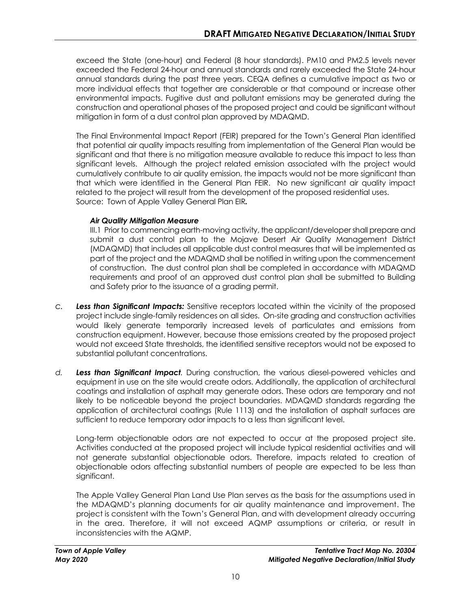exceed the State (one-hour) and Federal (8 hour standards). PM10 and PM2.5 levels never exceeded the Federal 24-hour and annual standards and rarely exceeded the State 24-hour annual standards during the past three years. CEQA defines a cumulative impact as two or more individual effects that together are considerable or that compound or increase other environmental impacts. Fugitive dust and pollutant emissions may be generated during the construction and operational phases of the proposed project and could be significant without mitigation in form of a dust control plan approved by MDAQMD.

The Final Environmental Impact Report (FEIR) prepared for the Town's General Plan identified that potential air quality impacts resulting from implementation of the General Plan would be significant and that there is no mitigation measure available to reduce this impact to less than significant levels. Although the project related emission associated with the project would cumulatively contribute to air quality emission, the impacts would not be more significant than that which were identified in the General Plan FEIR. No new significant air quality impact related to the project will result from the development of the proposed residential uses. Source: Town of Apple Valley General Plan EIR*.*

## *Air Quality Mitigation Measure*

III.1 Prior to commencing earth-moving activity, the applicant/developer shall prepare and submit a dust control plan to the Mojave Desert Air Quality Management District (MDAQMD) that includes all applicable dust control measures that will be implemented as part of the project and the MDAQMD shall be notified in writing upon the commencement of construction. The dust control plan shall be completed in accordance with MDAQMD requirements and proof of an approved dust control plan shall be submitted to Building and Safety prior to the issuance of a grading permit.

- *c. Less than Significant Impacts:* Sensitive receptors located within the vicinity of the proposed project include single-family residences on all sides. On-site grading and construction activities would likely generate temporarily increased levels of particulates and emissions from construction equipment. However, because those emissions created by the proposed project would not exceed State thresholds, the identified sensitive receptors would not be exposed to substantial pollutant concentrations.
- *d. Less than Significant Impact.* During construction, the various diesel-powered vehicles and equipment in use on the site would create odors. Additionally, the application of architectural coatings and installation of asphalt may generate odors. These odors are temporary and not likely to be noticeable beyond the project boundaries. MDAQMD standards regarding the application of architectural coatings (Rule 1113) and the installation of asphalt surfaces are sufficient to reduce temporary odor impacts to a less than significant level.

Long-term objectionable odors are not expected to occur at the proposed project site. Activities conducted at the proposed project will include typical residential activities and will not generate substantial objectionable odors. Therefore, impacts related to creation of objectionable odors affecting substantial numbers of people are expected to be less than significant.

The Apple Valley General Plan Land Use Plan serves as the basis for the assumptions used in the MDAQMD's planning documents for air quality maintenance and improvement. The project is consistent with the Town's General Plan, and with development already occurring in the area. Therefore, it will not exceed AQMP assumptions or criteria, or result in inconsistencies with the AQMP.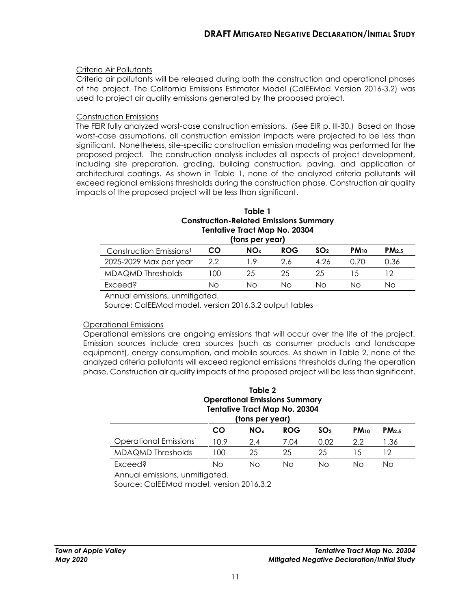#### Criteria Air Pollutants

Criteria air pollutants will be released during both the construction and operational phases of the project. The California Emissions Estimator Model (CalEEMod Version 2016-3.2) was used to project air quality emissions generated by the proposed project.

#### Construction Emissions

The FEIR fully analyzed worst-case construction emissions. (See EIR p. III-30.) Based on those worst-case assumptions, all construction emission impacts were projected to be less than significant. Nonetheless, site-specific construction emission modeling was performed for the proposed project. The construction analysis includes all aspects of project development, including site preparation, grading, building construction, paving, and application of architectural coatings. As shown in Table 1, none of the analyzed criteria pollutants will exceed regional emissions thresholds during the construction phase. Construction air quality impacts of the proposed project will be less than significant.

#### **Table 1 Construction-Related Emissions Summary Tentative Tract Map No. 20304 (tons per year)**

| , , , , , , , , , , , , , , , ,     |    |                 |            |                 |           |           |  |
|-------------------------------------|----|-----------------|------------|-----------------|-----------|-----------|--|
| Construction Emissions <sup>1</sup> | CO | NO <sub>×</sub> | <b>ROG</b> | SO <sub>2</sub> | $PM_{10}$ | $PM_{25}$ |  |
| 2025-2029 Max per year              | クク |                 | 2.6        | 4.26            | በ 7በ      | J.36      |  |
| MDAQMD Thresholds                   | 00 | 25              | 25         | 25              |           |           |  |
| Exceed?                             | Nο | NΟ              | Nο         | NΩ              | NΩ        | NΟ        |  |
| $\cdots$                            |    |                 |            |                 |           |           |  |

Annual emissions, unmitigated.

Source: CalEEMod model, version 2016.3.2 output tables

#### Operational Emissions

Operational emissions are ongoing emissions that will occur over the life of the project. Emission sources include area sources (such as consumer products and landscape equipment), energy consumption, and mobile sources. As shown in Table 2, none of the analyzed criteria pollutants will exceed regional emissions thresholds during the operation phase. Construction air quality impacts of the proposed project will be less than significant.

#### **Table 2 Operational Emissions Summary Tentative Tract Map No. 20304 (tons per year)**

| <b>NO</b> <sub>x</sub><br>10.9<br>2.4 | <b>ROG</b><br>7.04 | SO <sub>2</sub> | $PM_{10}$                      | PM <sub>2.5</sub> |
|---------------------------------------|--------------------|-----------------|--------------------------------|-------------------|
|                                       |                    |                 |                                |                   |
|                                       |                    | 0.02            | 2.2                            | 1.36              |
| 25                                    | 25                 | 25              | 1.5                            |                   |
| Nο                                    | Nο                 | Νo              | Nο                             | Νo                |
|                                       |                    |                 | Annual emissions, unmitigated. |                   |

Source: CalEEMod model, version 2016.3.2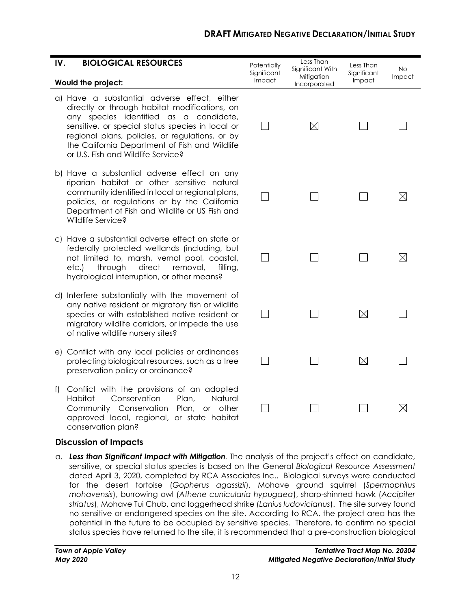| IV. | <b>BIOLOGICAL RESOURCES</b>                                                                                                                                                                                                                                                                                                            | Potentially           | Less Than<br>Significant With | Less Than             | <b>No</b>   |
|-----|----------------------------------------------------------------------------------------------------------------------------------------------------------------------------------------------------------------------------------------------------------------------------------------------------------------------------------------|-----------------------|-------------------------------|-----------------------|-------------|
|     | Would the project:                                                                                                                                                                                                                                                                                                                     | Significant<br>Impact | Mitigation<br>Incorporated    | Significant<br>Impact | Impact      |
|     | a) Have a substantial adverse effect, either<br>directly or through habitat modifications, on<br>any species identified as a candidate,<br>sensitive, or special status species in local or<br>regional plans, policies, or regulations, or by<br>the California Department of Fish and Wildlife<br>or U.S. Fish and Wildlife Service? |                       | $\boxtimes$                   |                       |             |
|     | b) Have a substantial adverse effect on any<br>riparian habitat or other sensitive natural<br>community identified in local or regional plans,<br>policies, or regulations or by the California<br>Department of Fish and Wildlife or US Fish and<br>Wildlife Service?                                                                 |                       |                               |                       | $\boxtimes$ |
|     | c) Have a substantial adverse effect on state or<br>federally protected wetlands (including, but<br>not limited to, marsh, vernal pool, coastal,<br>through<br>direct<br>removal,<br>etc.)<br>filling,<br>hydrological interruption, or other means?                                                                                   |                       |                               |                       | $\boxtimes$ |
|     | d) Interfere substantially with the movement of<br>any native resident or migratory fish or wildlife<br>species or with established native resident or<br>migratory wildlife corridors, or impede the use<br>of native wildlife nursery sites?                                                                                         |                       |                               | $\boxtimes$           |             |
|     | e) Conflict with any local policies or ordinances<br>protecting biological resources, such as a tree<br>preservation policy or ordinance?                                                                                                                                                                                              |                       |                               | $\boxtimes$           |             |
| t)  | Conflict with the provisions of an adopted<br>Habitat<br>Conservation<br>Natural<br>Plan,<br>Community Conservation<br>Plan,<br>or other<br>approved local, regional, or state habitat                                                                                                                                                 |                       |                               |                       | $\boxtimes$ |

conservation plan?

a. *Less than Significant Impact with Mitigation.* The analysis of the project's effect on candidate, sensitive, or special status species is based on the General *Biological Resource Assessment*  dated April 3, 2020, completed by RCA Associates Inc.. Biological surveys were conducted for the desert tortoise (*Gopherus agassizii*), Mohave ground squirrel (*Spermophilus mohavensis*), burrowing owl (*Athene cunicularia hypugaea*), sharp-shinned hawk (*Accipiter striatus*), Mohave Tui Chub, and loggerhead shrike (*Lanius ludovicianus*). The site survey found no sensitive or endangered species on the site. According to RCA, the project area has the potential in the future to be occupied by sensitive species. Therefore, to confirm no special status species have returned to the site, it is recommended that a pre-construction biological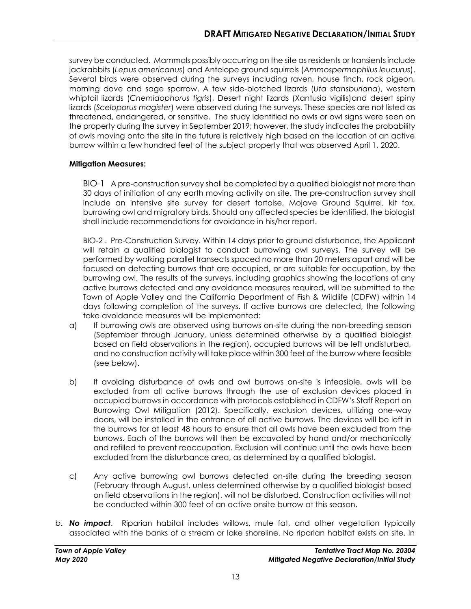survey be conducted. Mammals possibly occurring on the site as residents or transients include jackrabbits (*Lepus americanus*) and Antelope ground squirrels (*Ammospermophilus leucurus*). Several birds were observed during the surveys including raven, house finch, rock pigeon, morning dove and sage sparrow. A few side-blotched lizards (*Uta stansburiana*), western whiptail lizards (*Cnemidophorus tigris*), Desert night lizards (Xantusia vigilis)and desert spiny lizards (*Sceloporus magister*) were observed during the surveys. These species are not listed as threatened, endangered, or sensitive. The study identified no owls or owl signs were seen on the property during the survey in September 2019; however, the study indicates the probability of owls moving onto the site in the future is relatively high based on the location of an active burrow within a few hundred feet of the subject property that was observed April 1, 2020.

#### **Mitigation Measures:**

BIO-1 A pre-construction survey shall be completed by a qualified biologist not more than 30 days of initiation of any earth moving activity on site. The pre-construction survey shall include an intensive site survey for desert tortoise, Mojave Ground Squirrel, kit fox, burrowing owl and migratory birds. Should any affected species be identified, the biologist shall include recommendations for avoidance in his/her report.

BIO-2 . Pre-Construction Survey. Within 14 days prior to ground disturbance, the Applicant will retain a qualified biologist to conduct burrowing owl surveys. The survey will be performed by walking parallel transects spaced no more than 20 meters apart and will be focused on detecting burrows that are occupied, or are suitable for occupation, by the burrowing owl. The results of the surveys, including graphics showing the locations of any active burrows detected and any avoidance measures required, will be submitted to the Town of Apple Valley and the California Department of Fish & Wildlife (CDFW) within 14 days following completion of the surveys. If active burrows are detected, the following take avoidance measures will be implemented:

- a) If burrowing owls are observed using burrows on-site during the non-breeding season (September through January, unless determined otherwise by a qualified biologist based on field observations in the region), occupied burrows will be left undisturbed, and no construction activity will take place within 300 feet of the burrow where feasible (see below).
- b) If avoiding disturbance of owls and owl burrows on-site is infeasible, owls will be excluded from all active burrows through the use of exclusion devices placed in occupied burrows in accordance with protocols established in CDFW's Staff Report on Burrowing Owl Mitigation (2012). Specifically, exclusion devices, utilizing one-way doors, will be installed in the entrance of all active burrows. The devices will be left in the burrows for at least 48 hours to ensure that all owls have been excluded from the burrows. Each of the burrows will then be excavated by hand and/or mechanically and refilled to prevent reoccupation. Exclusion will continue until the owls have been excluded from the disturbance area, as determined by a qualified biologist.
- c) Any active burrowing owl burrows detected on-site during the breeding season (February through August, unless determined otherwise by a qualified biologist based on field observations in the region), will not be disturbed. Construction activities will not be conducted within 300 feet of an active onsite burrow at this season.
- b. *No impact*. Riparian habitat includes willows, mule fat, and other vegetation typically associated with the banks of a stream or lake shoreline. No riparian habitat exists on site. In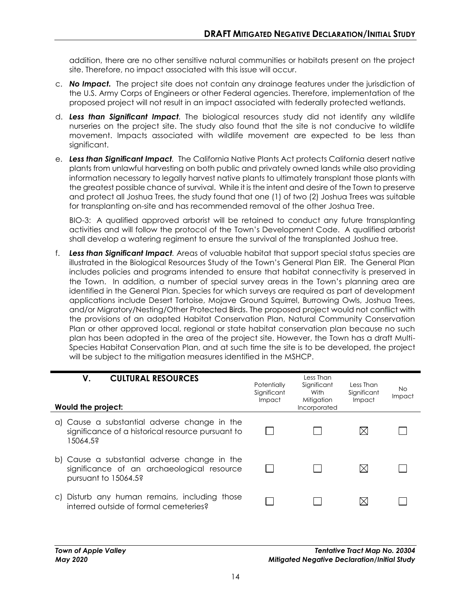addition, there are no other sensitive natural communities or habitats present on the project site. Therefore, no impact associated with this issue will occur.

- c. *No Impact.* The project site does not contain any drainage features under the jurisdiction of the U.S. Army Corps of Engineers or other Federal agencies. Therefore, implementation of the proposed project will not result in an impact associated with federally protected wetlands.
- d. *Less than Significant Impact.* The biological resources study did not identify any wildlife nurseries on the project site. The study also found that the site is not conducive to wildlife movement. Impacts associated with wildlife movement are expected to be less than significant.
- e. *Less than Significant Impact.* The California Native Plants Act protects California desert native plants from unlawful harvesting on both public and privately owned lands while also providing information necessary to legally harvest native plants to ultimately transplant those plants with the greatest possible chance of survival. While it is the intent and desire of the Town to preserve and protect all Joshua Trees, the study found that one (1) of two (2) Joshua Trees was suitable for transplanting on-site and has recommended removal of the other Joshua Tree.

BIO-3: A qualified approved arborist will be retained to conduct any future transplanting activities and will follow the protocol of the Town's Development Code. A qualified arborist shall develop a watering regiment to ensure the survival of the transplanted Joshua tree.

f. *Less than Significant Impact.* Areas of valuable habitat that support special status species are illustrated in the Biological Resources Study of the Town's General Plan EIR. The General Plan includes policies and programs intended to ensure that habitat connectivity is preserved in the Town. In addition, a number of special survey areas in the Town's planning area are identified in the General Plan. Species for which surveys are required as part of development applications include Desert Tortoise, Mojave Ground Squirrel, Burrowing Owls, Joshua Trees, and/or Migratory/Nesting/Other Protected Birds. The proposed project would not conflict with the provisions of an adopted Habitat Conservation Plan, Natural Community Conservation Plan or other approved local, regional or state habitat conservation plan because no such plan has been adopted in the area of the project site. However, the Town has a draft Multi-Species Habitat Conservation Plan, and at such time the site is to be developed, the project will be subject to the mitigation measures identified in the MSHCP.

| <b>CULTURAL RESOURCES</b><br>V.<br>Would the project:                                                              | Potentially<br>Significant<br>Impact | Less Than<br>Significant<br>With<br>Mitigation<br>Incorporated | Less Than<br>Significant<br>Impact | No.<br>Impact |
|--------------------------------------------------------------------------------------------------------------------|--------------------------------------|----------------------------------------------------------------|------------------------------------|---------------|
| a) Cause a substantial adverse change in the<br>significance of a historical resource pursuant to<br>15064.5?      |                                      |                                                                |                                    |               |
| b) Cause a substantial adverse change in the<br>significance of an archaeological resource<br>pursuant to 15064.5? |                                      |                                                                |                                    |               |
| c) Disturb any human remains, including those<br>interred outside of formal cemeteries?                            |                                      |                                                                |                                    |               |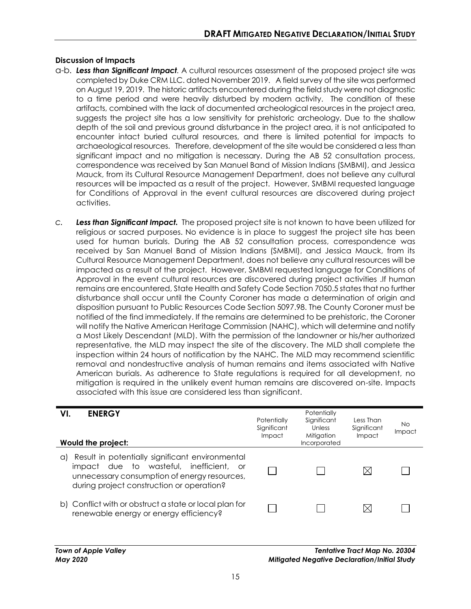- a-b. *Less than Significant Impact.* A cultural resources assessment of the proposed project site was completed by Duke CRM LLC. dated November 2019. A field survey of the site was performed on August 19, 2019. The historic artifacts encountered during the field study were not diagnostic to a time period and were heavily disturbed by modern activity. The condition of these artifacts, combined with the lack of documented archeological resources in the project area, suggests the project site has a low sensitivity for prehistoric archeology. Due to the shallow depth of the soil and previous ground disturbance in the project area, it is not anticipated to encounter intact buried cultural resources, and there is limited potential for impacts to archaeological resources. Therefore, development of the site would be considered a less than significant impact and no mitigation is necessary. During the AB 52 consultation process, correspondence was received by San Manuel Band of Mission Indians (SMBMI), and Jessica Mauck, from its Cultural Resource Management Department, does not believe any cultural resources will be impacted as a result of the project. However, SMBMI requested language for Conditions of Approval in the event cultural resources are discovered during project activities.
- *c. Less than Significant Impact.* The proposed project site is not known to have been utilized for religious or sacred purposes. No evidence is in place to suggest the project site has been used for human burials. During the AB 52 consultation process, correspondence was received by San Manuel Band of Mission Indians (SMBMI), and Jessica Mauck, from its Cultural Resource Management Department, does not believe any cultural resources will be impacted as a result of the project. However, SMBMI requested language for Conditions of Approval in the event cultural resources are discovered during project activities .If human remains are encountered, State Health and Safety Code Section 7050.5 states that no further disturbance shall occur until the County Coroner has made a determination of origin and disposition pursuant to Public Resources Code Section 5097.98. The County Coroner must be notified of the find immediately. If the remains are determined to be prehistoric, the Coroner will notify the Native American Heritage Commission (NAHC), which will determine and notify a Most Likely Descendant (MLD). With the permission of the landowner or his/her authorized representative, the MLD may inspect the site of the discovery. The MLD shall complete the inspection within 24 hours of notification by the NAHC. The MLD may recommend scientific removal and nondestructive analysis of human remains and items associated with Native American burials. As adherence to State regulations is required for all development, no mitigation is required in the unlikely event human remains are discovered on-site. Impacts associated with this issue are considered less than significant.

#### **VI. ENERGY**

| Would the project:                                                                                                                                                                            | Potentially<br>Significant<br>Impact | Significant<br>Unless<br>Mitigation<br>Incorporated | Less Than<br>Significant<br>Impact | No.<br>Impact |
|-----------------------------------------------------------------------------------------------------------------------------------------------------------------------------------------------|--------------------------------------|-----------------------------------------------------|------------------------------------|---------------|
| Result in potentially significant environmental<br>Q)<br>impact due to wasteful, inefficient, or<br>unnecessary consumption of energy resources,<br>during project construction or operation? |                                      |                                                     |                                    |               |
| b) Conflict with or obstruct a state or local plan for<br>renewable energy or energy efficiency?                                                                                              |                                      |                                                     | X                                  |               |

**Potentially**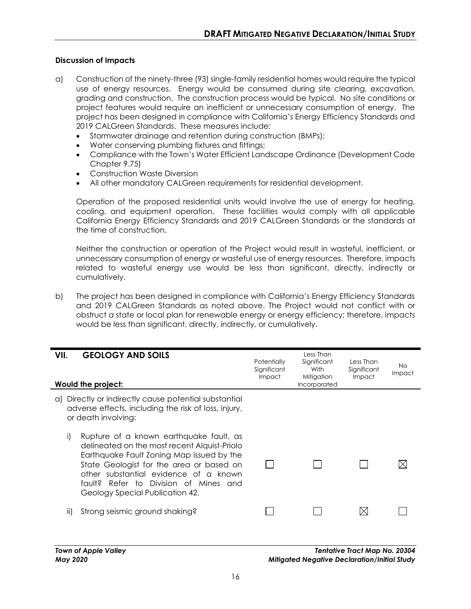- a) Construction of the ninety-three (93) single-family residential homes would require the typical use of energy resources. Energy would be consumed during site clearing, excavation, grading and construction. The construction process would be typical. No site conditions or project features would require an inefficient or unnecessary consumption of energy. The project has been designed in compliance with California's Energy Efficiency Standards and 2019 CALGreen Standards. These measures include:
	- Stormwater drainage and retention during construction (BMPs);
	- Water conserving plumbing fixtures and fittings;
	- Compliance with the Town's Water Efficient Landscape Ordinance (Development Code Chapter 9.75)
	- Construction Waste Diversion
	- All other mandatory CALGreen requirements for residential development.

Operation of the proposed residential units would involve the use of energy for heating, cooling, and equipment operation. These facilities would comply with all applicable California Energy Efficiency Standards and 2019 CALGreen Standards or the standards at the time of construction.

Neither the construction or operation of the Project would result in wasteful, inefficient, or unnecessary consumption of energy or wasteful use of energy resources. Therefore, impacts related to wasteful energy use would be less than significant, directly, indirectly or cumulatively.

b) The project has been designed in compliance with California's Energy Efficiency Standards and 2019 CALGreen Standards as noted above. The Project would not conflict with or obstruct a state or local plan for renewable energy or energy efficiency; therefore, impacts would be less than significant, directly, indirectly, or cumulatively.

| VII.<br><b>GEOLOGY AND SOILS</b><br>Would the project:                                                                                                                                                                                                                                                      | Potentially<br>Significant<br><b>Impact</b> | Less Than<br>Significant<br>With<br>Mitigation<br>Incorporated | Less Than<br>Significant<br>Impact | No<br><i>Impact</i> |
|-------------------------------------------------------------------------------------------------------------------------------------------------------------------------------------------------------------------------------------------------------------------------------------------------------------|---------------------------------------------|----------------------------------------------------------------|------------------------------------|---------------------|
| a) Directly or indirectly cause potential substantial<br>adverse effects, including the risk of loss, injury,<br>or death involving:                                                                                                                                                                        |                                             |                                                                |                                    |                     |
| i)<br>Rupture of a known earthquake fault, as<br>delineated on the most recent Alquist-Priolo<br>Earthquake Fault Zoning Map issued by the<br>State Geologist for the area or based on<br>other substantial evidence of a known<br>fault? Refer to Division of Mines and<br>Geology Special Publication 42. |                                             |                                                                |                                    |                     |
| Strong seismic ground shaking?<br>ii)                                                                                                                                                                                                                                                                       |                                             |                                                                |                                    |                     |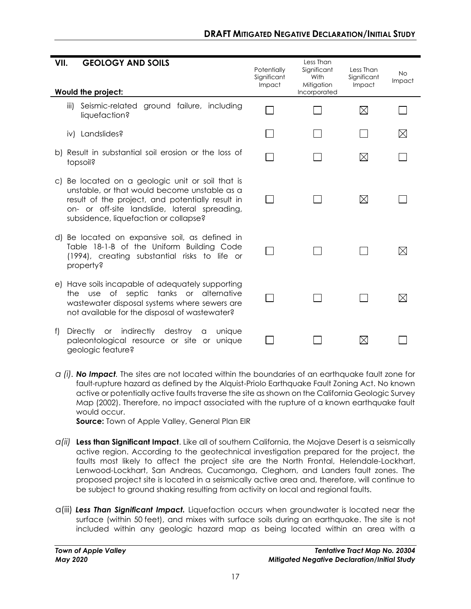| VII. | <b>GEOLOGY AND SOILS</b>                                                                                                                                                                                                                       | Potentially           | Less Than<br>Significant<br>With | Less Than             | <b>No</b>   |
|------|------------------------------------------------------------------------------------------------------------------------------------------------------------------------------------------------------------------------------------------------|-----------------------|----------------------------------|-----------------------|-------------|
|      | Would the project:                                                                                                                                                                                                                             | Significant<br>Impact | Mitigation<br>Incorporated       | Significant<br>Impact | Impact      |
|      | ground failure, including<br>Seismic-related<br>iii)<br>liquefaction?                                                                                                                                                                          |                       |                                  | $\boxtimes$           |             |
|      | Landslides?<br>iv)                                                                                                                                                                                                                             |                       |                                  |                       | $\boxtimes$ |
|      | b) Result in substantial soil erosion or the loss of<br>topsoil?                                                                                                                                                                               |                       |                                  | $\boxtimes$           |             |
|      | c) Be located on a geologic unit or soil that is<br>unstable, or that would become unstable as a<br>result of the project, and potentially result in<br>on- or off-site landslide, lateral spreading,<br>subsidence, liquefaction or collapse? |                       |                                  | ⊠                     |             |
|      | d) Be located on expansive soil, as defined in<br>Table 18-1-B of the Uniform Building Code<br>(1994), creating substantial risks to life or<br>property?                                                                                      |                       |                                  |                       |             |
|      | e) Have soils incapable of adequately supporting<br>use of septic tanks or alternative<br>the<br>wastewater disposal systems where sewers are<br>not available for the disposal of wastewater?                                                 |                       |                                  |                       | IX          |
| f)   | Directly or indirectly destroy<br>unique<br>$\alpha$<br>paleontological resource or site or<br>uniaue<br>geologic feature?                                                                                                                     |                       |                                  | $\boxtimes$           |             |

*a (i). No Impact.* The sites are not located within the boundaries of an earthquake fault zone for fault-rupture hazard as defined by the Alquist-Priolo Earthquake Fault Zoning Act. No known active or potentially active faults traverse the site as shown on the California Geologic Survey Map (2002). Therefore, no impact associated with the rupture of a known earthquake fault would occur.

**Source:** Town of Apple Valley, General Plan EIR

- *a(ii)* **Less than Significant Impact**. Like all of southern California, the Mojave Desert is a seismically active region. According to the geotechnical investigation prepared for the project, the faults most likely to affect the project site are the North Frontal, Helendale-Lockhart, Lenwood-Lockhart, San Andreas, Cucamonga, Cleghorn, and Landers fault zones. The proposed project site is located in a seismically active area and, therefore, will continue to be subject to ground shaking resulting from activity on local and regional faults.
- a(iii) *Less Than Significant Impact.* Liquefaction occurs when groundwater is located near the surface (within 50 feet), and mixes with surface soils during an earthquake. The site is not included within any geologic hazard map as being located within an area with a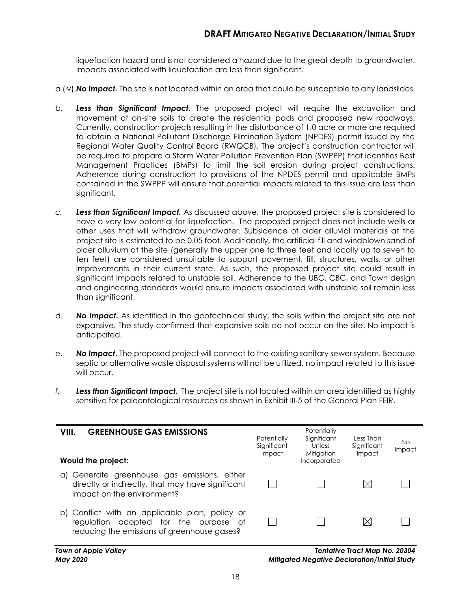liquefaction hazard and is not considered a hazard due to the great depth to groundwater. Impacts associated with liquefaction are less than significant.

- a (iv).*No Impact.* The site is not located within an area that could be susceptible to any landslides.
- b. *Less than Significant Impact.* The proposed project will require the excavation and movement of on-site soils to create the residential pads and proposed new roadways. Currently, construction projects resulting in the disturbance of 1.0 acre or more are required to obtain a National Pollutant Discharge Elimination System (NPDES) permit issued by the Regional Water Quality Control Board (RWQCB). The project's construction contractor will be required to prepare a Storm Water Pollution Prevention Plan (SWPPP) that identifies Best Management Practices (BMPs) to limit the soil erosion during project constructions. Adherence during construction to provisions of the NPDES permit and applicable BMPs contained in the SWPPP will ensure that potential impacts related to this issue are less than significant.
- *c. Less than Significant Impact.* As discussed above, the proposed project site is considered to have a very low potential for liquefaction. The proposed project does not include wells or other uses that will withdraw groundwater. Subsidence of older alluvial materials at the project site is estimated to be 0.05 foot. Additionally, the artificial fill and windblown sand of older alluvium at the site (generally the upper one to three feet and locally up to seven to ten feet) are considered unsuitable to support pavement, fill, structures, walls, or other improvements in their current state. As such, the proposed project site could result in significant impacts related to unstable soil. Adherence to the UBC, CBC, and Town design and engineering standards would ensure impacts associated with unstable soil remain less than significant.
- d. *No Impact.* As identified in the geotechnical study, the soils within the project site are not expansive. The study confirmed that expansive soils do not occur on the site. No impact is anticipated.
- e. *No Impact*. The proposed project will connect to the existing sanitary sewer system. Because septic or alternative waste disposal systems will not be utilized, no impact related to this issue will occur.
- *f. Less than Significant Impact.* The project site is not located within an area identified as highly sensitive for paleontological resources as shown in Exhibit III-5 of the General Plan FEIR.

| <b>GREENHOUSE GAS EMISSIONS</b><br>VIII.<br>Would the project:                                                                         | Potentially<br>Significant<br>Impact | Potentially<br>Significant<br>Unless<br>Mitigation<br>Incorporated | Less Than<br>Significant<br>Impact | No.<br>Impact |
|----------------------------------------------------------------------------------------------------------------------------------------|--------------------------------------|--------------------------------------------------------------------|------------------------------------|---------------|
| Generate greenhouse gas emissions, either<br>αI<br>directly or indirectly, that may have significant<br>impact on the environment?     |                                      |                                                                    |                                    |               |
| b) Conflict with an applicable plan, policy or<br>regulation adopted for the purpose of<br>reducing the emissions of greenhouse gases? |                                      |                                                                    |                                    |               |

*Town of Apple Valley Tentative Tract Map No. 20304 May 2020 Mitigated Negative Declaration/Initial Study*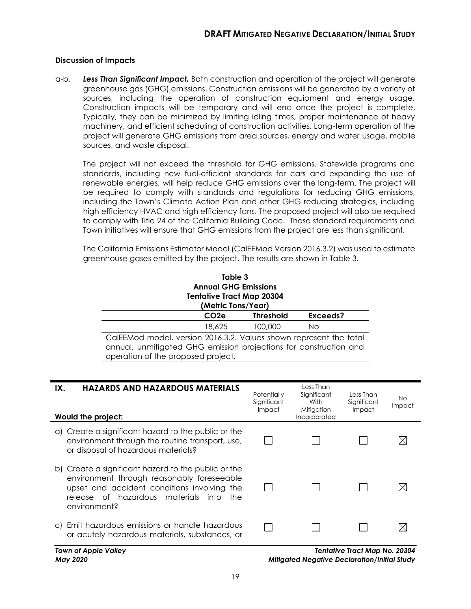a-b. *Less Than Significant Impact.* Both construction and operation of the project will generate greenhouse gas (GHG) emissions. Construction emissions will be generated by a variety of sources, including the operation of construction equipment and energy usage. Construction impacts will be temporary and will end once the project is complete. Typically, they can be minimized by limiting idling times, proper maintenance of heavy machinery, and efficient scheduling of construction activities. Long-term operation of the project will generate GHG emissions from area sources, energy and water usage, mobile sources, and waste disposal.

The project will not exceed the threshold for GHG emissions. Statewide programs and standards, including new fuel-efficient standards for cars and expanding the use of renewable energies, will help reduce GHG emissions over the long-term. The project will be required to comply with standards and regulations for reducing GHG emissions, including the Town's Climate Action Plan and other GHG reducing strategies, including high efficiency HVAC and high efficiency fans. The proposed project will also be required to comply with Title 24 of the California Building Code. These standard requirements and Town initiatives will ensure that GHG emissions from the project are less than significant.

The California Emissions Estimator Model (CalEEMod Version 2016.3.2) was used to estimate greenhouse gases emitted by the project. The results are shown in Table 3.

| Table 3<br><b>Annual GHG Emissions</b><br><b>Tentative Tract Map 20304</b><br>(Metric Tons/Year)                                                                              |                  |          |  |  |
|-------------------------------------------------------------------------------------------------------------------------------------------------------------------------------|------------------|----------|--|--|
| CO <sub>2</sub> e                                                                                                                                                             | <b>Threshold</b> | Exceeds? |  |  |
| 18,625                                                                                                                                                                        | 100,000          | No       |  |  |
| CalEEMod model, version 2016.3.2. Values shown represent the total<br>annual, unmitigated GHG emission projections for construction and<br>operation of the proposed project. |                  |          |  |  |

| <b>HAZARDS AND HAZARDOUS MATERIALS</b><br>IX.<br>Would the project:                                                                                                                                            | Potentially<br>Significant<br>Impact | Less Than<br>Significant<br>With<br>Mitigation<br>Incorporated | Less Than<br>Significant<br><b>Impact</b> | No.<br>Impact |
|----------------------------------------------------------------------------------------------------------------------------------------------------------------------------------------------------------------|--------------------------------------|----------------------------------------------------------------|-------------------------------------------|---------------|
| a) Create a significant hazard to the public or the<br>environment through the routine transport, use,<br>or disposal of hazardous materials?                                                                  |                                      |                                                                |                                           |               |
| b) Create a significant hazard to the public or the<br>environment through reasonably foreseeable<br>upset and accident conditions involving the<br>release of hazardous materials into<br>the<br>environment? |                                      |                                                                |                                           |               |
| Emit hazardous emissions or handle hazardous<br>C)<br>or acutely hazardous materials, substances, or                                                                                                           |                                      |                                                                |                                           |               |

*Town of Apple Valley Tentative Tract Map No. 20304 May 2020 Mitigated Negative Declaration/Initial Study*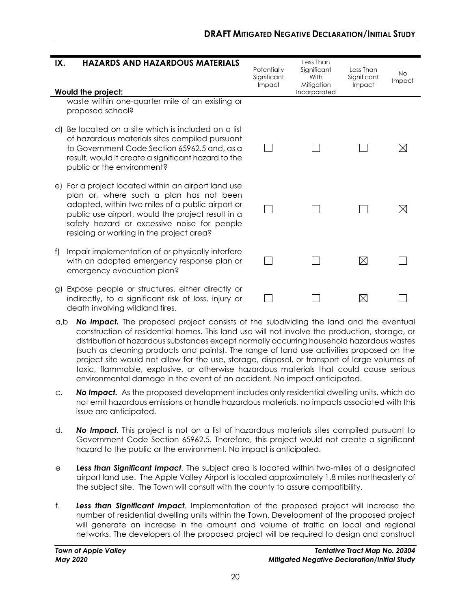#### **IX. HAZARDS AND HAZARDOUS MATERIALS** Less Than Significant **Potentially** Less Than No **Significant** With **Significant** Impact Impact Mitigation Impact **Would the project:** Incorporated waste within one-quarter mile of an existing or proposed school? d) Be located on a site which is included on a list of hazardous materials sites compiled pursuant П  $\Box$  $\Box$  $\boxtimes$ to Government Code Section 65962.5 and, as a result, would it create a significant hazard to the public or the environment? e) For a project located within an airport land use plan or, where such a plan has not been adopted, within two miles of a public airport or П  $\Box$  $\boxtimes$  $\Box$ public use airport, would the project result in a safety hazard or excessive noise for people residing or working in the project area? f) Impair implementation of or physically interfere  $\boxtimes$ with an adopted emergency response plan or  $\Box$  $\Box$  $\Box$ emergency evacuation plan? g) Expose people or structures, either directly or indirectly, to a significant risk of loss, injury or  $\boxtimes$  $\Box$  $\perp$  $\Box$ death involving wildland fires.

- a,b *No Impact.* The proposed project consists of the subdividing the land and the eventual construction of residential homes. This land use will not involve the production, storage, or distribution of hazardous substances except normally occurring household hazardous wastes (such as cleaning products and paints). The range of land use activities proposed on the project site would not allow for the use, storage, disposal, or transport of large volumes of toxic, flammable, explosive, or otherwise hazardous materials that could cause serious environmental damage in the event of an accident. No impact anticipated.
- c. *No Impact.* As the proposed development includes only residential dwelling units, which do not emit hazardous emissions or handle hazardous materials, no impacts associated with this issue are anticipated.
- d. *No Impact.* This project is not on a list of hazardous materials sites compiled pursuant to Government Code Section 65962.5. Therefore, this project would not create a significant hazard to the public or the environment. No impact is anticipated.
- e *Less than Significant Impact.* The subject area is located within two-miles of a designated airport land use. The Apple Valley Airport is located approximately 1.8 miles northeasterly of the subject site. The Town will consult with the county to assure compatibility.
- f. *Less than Significant Impact.* Implementation of the proposed project will increase the number of residential dwelling units within the Town. Development of the proposed project will generate an increase in the amount and volume of traffic on local and regional networks. The developers of the proposed project will be required to design and construct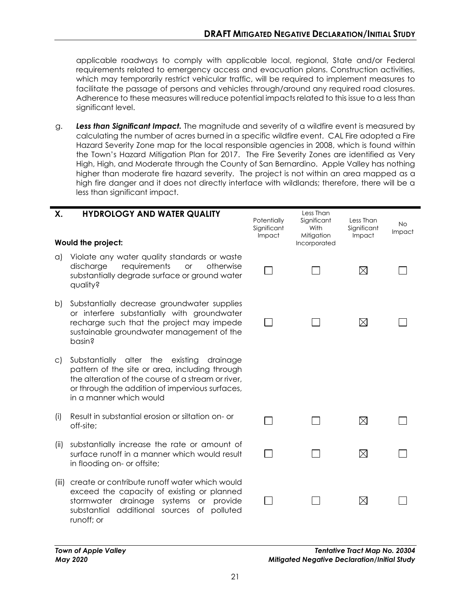applicable roadways to comply with applicable local, regional, State and/or Federal requirements related to emergency access and evacuation plans. Construction activities, which may temporarily restrict vehicular traffic, will be required to implement measures to facilitate the passage of persons and vehicles through/around any required road closures. Adherence to these measures will reduce potential impacts related to this issue to a less than significant level.

g. *Less than Significant Impact.* The magnitude and severity of a wildfire event is measured by calculating the number of acres burned in a specific wildfire event. CAL Fire adopted a Fire Hazard Severity Zone map for the local responsible agencies in 2008, which is found within the Town's Hazard Mitigation Plan for 2017. The Fire Severity Zones are identified as Very High, High, and Moderate through the County of San Bernardino. Apple Valley has nothing higher than moderate fire hazard severity. The project is not within an area mapped as a high fire danger and it does not directly interface with wildlands; therefore, there will be a less than significant impact.

| Χ.           | <b>HYDROLOGY AND WATER QUALITY</b><br>Would the project:                                                                                                                                                                              | Potentially<br>Significant<br>Impact | Less Than<br>Significant<br>With<br>Mitigation<br>Incorporated | Less Than<br>Significant<br>Impact | <b>No</b><br>Impact |
|--------------|---------------------------------------------------------------------------------------------------------------------------------------------------------------------------------------------------------------------------------------|--------------------------------------|----------------------------------------------------------------|------------------------------------|---------------------|
|              |                                                                                                                                                                                                                                       |                                      |                                                                |                                    |                     |
| $\alpha$     | Violate any water quality standards or waste<br>requirements<br>discharge<br>otherwise<br><b>or</b><br>substantially degrade surface or ground water<br>quality?                                                                      |                                      |                                                                | $\boxtimes$                        |                     |
| b)           | Substantially decrease groundwater supplies<br>or interfere substantially with groundwater<br>recharge such that the project may impede<br>sustainable groundwater management of the<br>basin?                                        |                                      |                                                                | $\boxtimes$                        |                     |
| $\mathsf{C}$ | Substantially alter the<br>existing<br>drainage<br>pattern of the site or area, including through<br>the alteration of the course of a stream or river,<br>or through the addition of impervious surfaces,<br>in a manner which would |                                      |                                                                |                                    |                     |
| (i)          | Result in substantial erosion or siltation on- or<br>off-site;                                                                                                                                                                        |                                      |                                                                | $\boxtimes$                        |                     |
| (ii)         | substantially increase the rate or amount of<br>surface runoff in a manner which would result<br>in flooding on- or offsite;                                                                                                          |                                      |                                                                | $\boxtimes$                        |                     |
| (iii)        | create or contribute runoff water which would<br>exceed the capacity of existing or planned<br>stormwater drainage systems or provide<br>substantial additional sources of<br>polluted                                                |                                      |                                                                | $\boxtimes$                        |                     |

runoff; or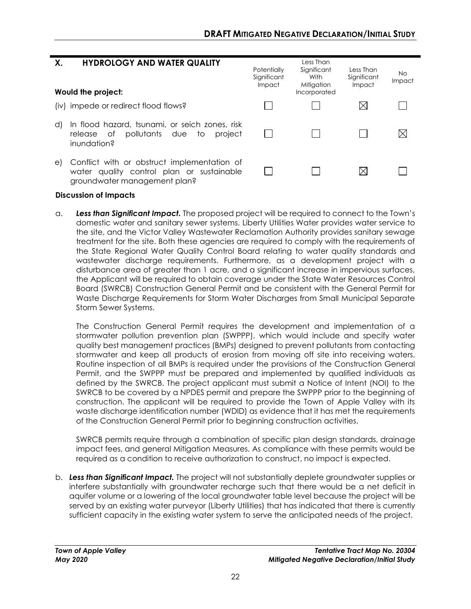| <b>HYDROLOGY AND WATER QUALITY</b><br>Χ.<br>Would the project:                                                                 | Potentially<br>Significant<br>Impact | Less Than<br>Significant<br>With<br>Mitigation<br>Incorporated | Less Than<br>Significant<br>Impact | No.<br>Impact |
|--------------------------------------------------------------------------------------------------------------------------------|--------------------------------------|----------------------------------------------------------------|------------------------------------|---------------|
| (iv) impede or redirect flood flows?                                                                                           |                                      |                                                                | $\boxtimes$                        |               |
| In flood hazard, tsunami, or seich zones, risk<br>d)<br>pollutants due<br>project<br>to<br>release of<br>inundation?           |                                      |                                                                |                                    | $\boxtimes$   |
| Conflict with or obstruct implementation of<br>e)<br>water quality control plan or sustainable<br>groundwater management plan? |                                      |                                                                | $\boxtimes$                        |               |

a. *Less than Significant Impact.* The proposed project will be required to connect to the Town's domestic water and sanitary sewer systems. Liberty Utilities Water provides water service to the site, and the Victor Valley Wastewater Reclamation Authority provides sanitary sewage treatment for the site. Both these agencies are required to comply with the requirements of the State Regional Water Quality Control Board relating to water quality standards and wastewater discharge requirements. Furthermore, as a development project with a disturbance area of greater than 1 acre, and a significant increase in impervious surfaces, the Applicant will be required to obtain coverage under the State Water Resources Control Board (SWRCB) Construction General Permit and be consistent with the General Permit for Waste Discharge Requirements for Storm Water Discharges from Small Municipal Separate Storm Sewer Systems.

The Construction General Permit requires the development and implementation of a stormwater pollution prevention plan (SWPPP), which would include and specify water quality best management practices (BMPs) designed to prevent pollutants from contacting stormwater and keep all products of erosion from moving off site into receiving waters. Routine inspection of all BMPs is required under the provisions of the Construction General Permit, and the SWPPP must be prepared and implemented by qualified individuals as defined by the SWRCB. The project applicant must submit a Notice of Intent (NOI) to the SWRCB to be covered by a NPDES permit and prepare the SWPPP prior to the beginning of construction. The applicant will be required to provide the Town of Apple Valley with its waste discharge identification number (WDID) as evidence that it has met the requirements of the Construction General Permit prior to beginning construction activities.

SWRCB permits require through a combination of specific plan design standards, drainage impact fees, and general Mitigation Measures. As compliance with these permits would be required as a condition to receive authorization to construct, no impact is expected.

b. *Less than Significant Impact.* The project will not substantially deplete groundwater supplies or interfere substantially with groundwater recharge such that there would be a net deficit in aquifer volume or a lowering of the local groundwater table level because the project will be served by an existing water purveyor (Liberty Utilities) that has indicated that there is currently sufficient capacity in the existing water system to serve the anticipated needs of the project.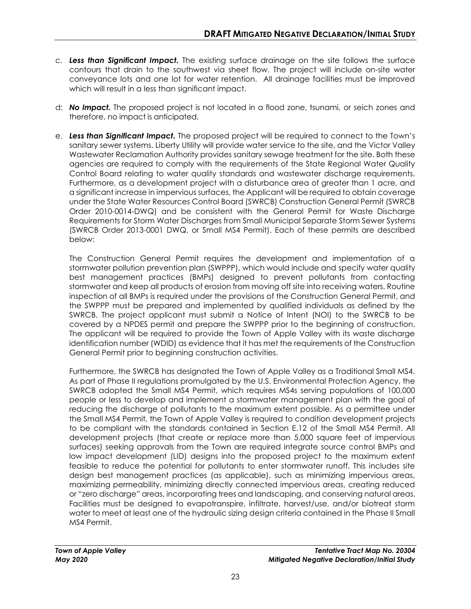- c. *Less than Significant Impact.* The existing surface drainage on the site follows the surface contours that drain to the southwest via sheet flow. The project will include on-site water conveyance lots and one lot for water retention. All drainage facilities must be improved which will result in a less than significant impact.
- d: *No Impact.* The proposed project is not located in a flood zone, tsunami, or seich zones and therefore, no impact is anticipated.
- e. *Less than Significant Impact.* The proposed project will be required to connect to the Town's sanitary sewer systems. Liberty Utility will provide water service to the site, and the Victor Valley Wastewater Reclamation Authority provides sanitary sewage treatment for the site. Both these agencies are required to comply with the requirements of the State Regional Water Quality Control Board relating to water quality standards and wastewater discharge requirements. Furthermore, as a development project with a disturbance area of greater than 1 acre, and a significant increase in impervious surfaces, the Applicant will be required to obtain coverage under the State Water Resources Control Board (SWRCB) Construction General Permit (SWRCB Order 2010-0014-DWQ) and be consistent with the General Permit for Waste Discharge Requirements for Storm Water Discharges from Small Municipal Separate Storm Sewer Systems (SWRCB Order 2013-0001 DWQ, or Small MS4 Permit). Each of these permits are described below:

The Construction General Permit requires the development and implementation of a stormwater pollution prevention plan (SWPPP), which would include and specify water quality best management practices (BMPs) designed to prevent pollutants from contacting stormwater and keep all products of erosion from moving off site into receiving waters. Routine inspection of all BMPs is required under the provisions of the Construction General Permit, and the SWPPP must be prepared and implemented by qualified individuals as defined by the SWRCB. The project applicant must submit a Notice of Intent (NOI) to the SWRCB to be covered by a NPDES permit and prepare the SWPPP prior to the beginning of construction. The applicant will be required to provide the Town of Apple Valley with its waste discharge identification number (WDID) as evidence that it has met the requirements of the Construction General Permit prior to beginning construction activities.

Furthermore, the SWRCB has designated the Town of Apple Valley as a Traditional Small MS4. As part of Phase II regulations promulgated by the U.S. Environmental Protection Agency, the SWRCB adopted the Small MS4 Permit, which requires MS4s serving populations of 100,000 people or less to develop and implement a stormwater management plan with the goal of reducing the discharge of pollutants to the maximum extent possible. As a permittee under the Small MS4 Permit, the Town of Apple Valley is required to condition development projects to be compliant with the standards contained in Section E.12 of the Small MS4 Permit. All development projects (that create or replace more than 5,000 square feet of impervious surfaces) seeking approvals from the Town are required integrate source control BMPs and low impact development (LID) designs into the proposed project to the maximum extent feasible to reduce the potential for pollutants to enter stormwater runoff. This includes site design best management practices (as applicable), such as minimizing impervious areas, maximizing permeability, minimizing directly connected impervious areas, creating reduced or "zero discharge" areas, incorporating trees and landscaping, and conserving natural areas. Facilities must be designed to evapotranspire, infiltrate, harvest/use, and/or biotreat storm water to meet at least one of the hydraulic sizing design criteria contained in the Phase II Small MS4 Permit.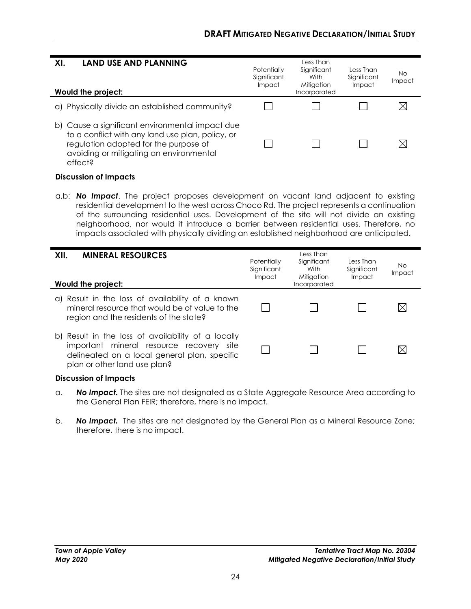| <b>LAND USE AND PLANNING</b><br>XI.<br>Would the project:                                                                                                                                          | Potentially<br>Significant<br>Impact | Less Than<br>Significant<br>With<br>Mitigation<br>Incorporated | Less Than<br>Significant<br>Impact | No<br>Impact |
|----------------------------------------------------------------------------------------------------------------------------------------------------------------------------------------------------|--------------------------------------|----------------------------------------------------------------|------------------------------------|--------------|
| Physically divide an established community?<br>αI                                                                                                                                                  |                                      |                                                                |                                    |              |
| b) Cause a significant environmental impact due<br>to a conflict with any land use plan, policy, or<br>regulation adopted for the purpose of<br>avoiding or mitigating an environmental<br>effect? |                                      |                                                                |                                    |              |

a,b: *No Impact*. The project proposes development on vacant land adjacent to existing residential development to the west across Choco Rd. The project represents a continuation of the surrounding residential uses. Development of the site will not divide an existing neighborhood, nor would it introduce a barrier between residential uses. Therefore, no impacts associated with physically dividing an established neighborhood are anticipated.

| <b>MINERAL RESOURCES</b><br>XII.<br>Would the project:                                                                                                                         | Potentially<br>Significant<br>Impact | Less Than<br>Significant<br>With<br>Mitigation<br>Incorporated | Less Than<br>Significant<br>Impact | No.<br>Impact |
|--------------------------------------------------------------------------------------------------------------------------------------------------------------------------------|--------------------------------------|----------------------------------------------------------------|------------------------------------|---------------|
| a) Result in the loss of availability of a known<br>mineral resource that would be of value to the<br>region and the residents of the state?                                   |                                      |                                                                |                                    | IXI           |
| b) Result in the loss of availability of a locally<br>important mineral resource recovery site<br>delineated on a local general plan, specific<br>plan or other land use plan? |                                      |                                                                |                                    |               |

#### **Discussion of Impacts**

- a. *No Impact.* The sites are not designated as a State Aggregate Resource Area according to the General Plan FEIR; therefore, there is no impact.
- b. *No Impact.* The sites are not designated by the General Plan as a Mineral Resource Zone; therefore, there is no impact.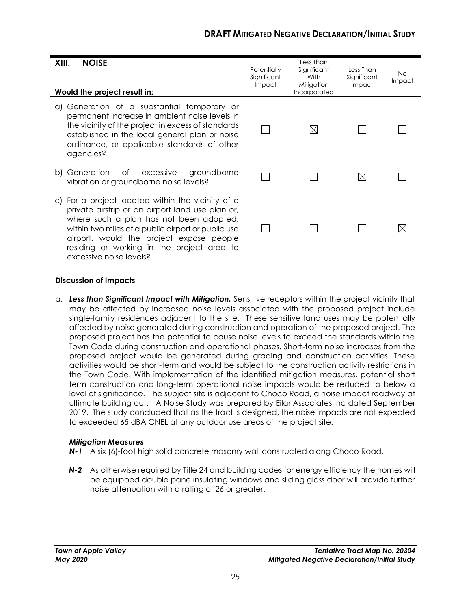| <b>NOISE</b><br>XIII.<br>Would the project result in:                                                                                                                                                                                                                                                                       | Potentially<br>Significant<br><b>Impact</b> | Less Than<br>Significant<br>With<br>Mitigation<br>Incorporated | Less Than<br>Significant<br><b>Impact</b> | No.<br>Impact |
|-----------------------------------------------------------------------------------------------------------------------------------------------------------------------------------------------------------------------------------------------------------------------------------------------------------------------------|---------------------------------------------|----------------------------------------------------------------|-------------------------------------------|---------------|
| Generation of a substantial temporary or<br>a)<br>permanent increase in ambient noise levels in<br>the vicinity of the project in excess of standards<br>established in the local general plan or noise<br>ordinance, or applicable standards of other<br>agencies?                                                         |                                             | $\boxtimes$                                                    |                                           |               |
| b) Generation<br>Оf<br>excessive<br>groundborne<br>vibration or groundborne noise levels?                                                                                                                                                                                                                                   |                                             |                                                                | $\boxtimes$                               |               |
| c) For a project located within the vicinity of a<br>private airstrip or an airport land use plan or,<br>where such a plan has not been adopted,<br>within two miles of a public airport or public use<br>airport, would the project expose people<br>residing or working in the project area to<br>excessive noise levels? |                                             |                                                                |                                           |               |

a. *Less than Significant Impact with Mitigation.* Sensitive receptors within the project vicinity that may be affected by increased noise levels associated with the proposed project include single-family residences adjacent to the site. These sensitive land uses may be potentially affected by noise generated during construction and operation of the proposed project. The proposed project has the potential to cause noise levels to exceed the standards within the Town Code during construction and operational phases. Short-term noise increases from the proposed project would be generated during grading and construction activities. These activities would be short-term and would be subject to the construction activity restrictions in the Town Code. With implementation of the identified mitigation measures, potential short term construction and long-term operational noise impacts would be reduced to below a level of significance. The subject site is adjacent to Choco Road, a noise impact roadway at ultimate building out. A Noise Study was prepared by Eilar Associates Inc dated September 2019. The study concluded that as the tract is designed, the noise impacts are not expected to exceeded 65 dBA CNEL at any outdoor use areas of the project site.

## *Mitigation Measures*

- *N-1* A six (6)-foot high solid concrete masonry wall constructed along Choco Road.
- **N-2** As otherwise required by Title 24 and building codes for energy efficiency the homes will be equipped double pane insulating windows and sliding glass door will provide further noise attenuation with a rating of 26 or greater.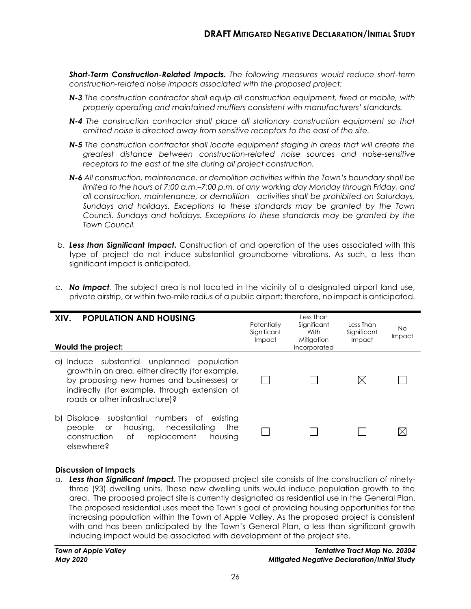*Short-Term Construction-Related Impacts. The following measures would reduce short-term construction-related noise impacts associated with the proposed project:*

- *N-3 The construction contractor shall equip all construction equipment, fixed or mobile, with properly operating and maintained mufflers consistent with manufacturers' standards.*
- *N-4 The construction contractor shall place all stationary construction equipment so that emitted noise is directed away from sensitive receptors to the east of the site.*
- *N-5 The construction contractor shall locate equipment staging in areas that will create the greatest distance between construction-related noise sources and noise-sensitive receptors to the east of the site during all project construction.*
- *N-6 All construction, maintenance, or demolition activities within the Town's boundary shall be limited to the hours of 7:00 a.m.–7:00 p.m. of any working day Monday through Friday, and all construction, maintenance, or demolition activities shall be prohibited on Saturdays, Sundays and holidays. Exceptions to these standards may be granted by the Town Council. Sundays and holidays. Exceptions to these standards may be granted by the Town Council.*
- b.*Less than Significant Impact.* Construction of and operation of the uses associated with this type of project do not induce substantial groundborne vibrations. As such, a less than significant impact is anticipated.
- c. *No Impact.* The subject area is not located in the vicinity of a designated airport land use, private airstrip, or within two-mile radius of a public airport; therefore, no impact is anticipated.

| <b>POPULATION AND HOUSING</b><br>XIV.<br>Would the project:                                                                                                                                                                        | Potentially<br>Significant<br>Impact | Less Than<br>Significant<br>With<br>Mitigation<br>Incorporated | Less Than<br>Significant<br>Impact | No.<br>Impact |
|------------------------------------------------------------------------------------------------------------------------------------------------------------------------------------------------------------------------------------|--------------------------------------|----------------------------------------------------------------|------------------------------------|---------------|
| Induce substantial unplanned population<br>a)<br>growth in an area, either directly (for example,<br>by proposing new homes and businesses) or<br>indirectly (for example, through extension of<br>roads or other infrastructure)? |                                      |                                                                |                                    |               |
| substantial numbers of<br>Displace<br>existing<br>b)<br>housing,<br>necessitating<br>the<br>people<br><b>or</b><br>Оf<br>construction<br>replacement<br>housina<br>elsewhere?                                                      |                                      |                                                                |                                    |               |

#### **Discussion of Impacts**

a. *Less than Significant Impact.* The proposed project site consists of the construction of ninetythree (93) dwelling units. These new dwelling units would induce population growth to the area. The proposed project site is currently designated as residential use in the General Plan. The proposed residential uses meet the Town's goal of providing housing opportunities for the increasing population within the Town of Apple Valley. As the proposed project is consistent with and has been anticipated by the Town's General Plan, a less than significant growth inducing impact would be associated with development of the project site.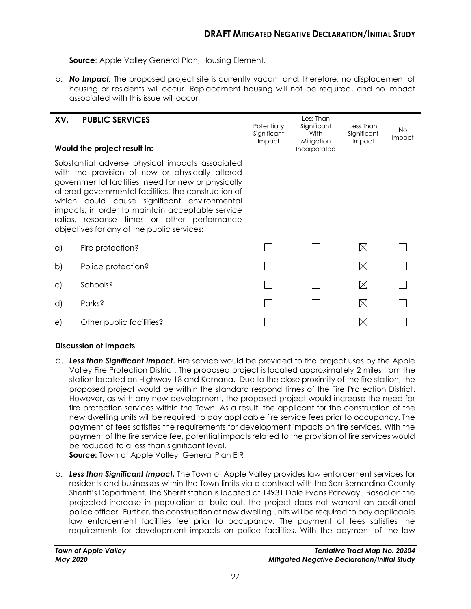**Source:** Apple Valley General Plan, Housing Element.

b: *No Impact.* The proposed project site is currently vacant and, therefore, no displacement of housing or residents will occur. Replacement housing will not be required, and no impact associated with this issue will occur.

| XV.          | <b>PUBLIC SERVICES</b><br>Would the project result in:                                                                                                                                                                                                                                                                                                                                                            | Potentially<br>Significant<br>Impact | Less Than<br>Significant<br>With<br>Mitigation<br>Incorporated | Less Than<br>Significant<br>Impact | <b>No</b><br><b>Impact</b> |
|--------------|-------------------------------------------------------------------------------------------------------------------------------------------------------------------------------------------------------------------------------------------------------------------------------------------------------------------------------------------------------------------------------------------------------------------|--------------------------------------|----------------------------------------------------------------|------------------------------------|----------------------------|
|              | Substantial adverse physical impacts associated<br>with the provision of new or physically altered<br>governmental facilities, need for new or physically<br>altered governmental facilities, the construction of<br>which could cause significant environmental<br>impacts, in order to maintain acceptable service<br>ratios, response times or other performance<br>objectives for any of the public services: |                                      |                                                                |                                    |                            |
| $\alpha$     | Fire protection?                                                                                                                                                                                                                                                                                                                                                                                                  |                                      |                                                                | $\boxtimes$                        |                            |
| $\mathsf{b}$ | Police protection?                                                                                                                                                                                                                                                                                                                                                                                                |                                      |                                                                | $\boxtimes$                        |                            |
| $\circ$      | Schools?                                                                                                                                                                                                                                                                                                                                                                                                          |                                      |                                                                | $\boxtimes$                        |                            |
| d)           | Parks?                                                                                                                                                                                                                                                                                                                                                                                                            |                                      |                                                                | $\boxtimes$                        |                            |
| e)           | Other public facilities?                                                                                                                                                                                                                                                                                                                                                                                          |                                      |                                                                |                                    |                            |

#### **Discussion of Impacts**

a. *Less than Significant Impact***.** Fire service would be provided to the project uses by the Apple Valley Fire Protection District. The proposed project is located approximately 2 miles from the station located on Highway 18 and Kamana. Due to the close proximity of the fire station, the proposed project would be within the standard respond times of the Fire Protection District. However, as with any new development, the proposed project would increase the need for fire protection services within the Town. As a result, the applicant for the construction of the new dwelling units will be required to pay applicable fire service fees prior to occupancy. The payment of fees satisfies the requirements for development impacts on fire services. With the payment of the fire service fee, potential impacts related to the provision of fire services would be reduced to a less than significant level.

**Source:** Town of Apple Valley, General Plan EIR

b. *Less than Significant Impact.* The Town of Apple Valley provides law enforcement services for residents and businesses within the Town limits via a contract with the San Bernardino County Sheriff's Department. The Sheriff station is located at 14931 Dale Evans Parkway. Based on the projected increase in population at build-out, the project does not warrant an additional police officer. Further, the construction of new dwelling units will be required to pay applicable law enforcement facilities fee prior to occupancy. The payment of fees satisfies the requirements for development impacts on police facilities. With the payment of the law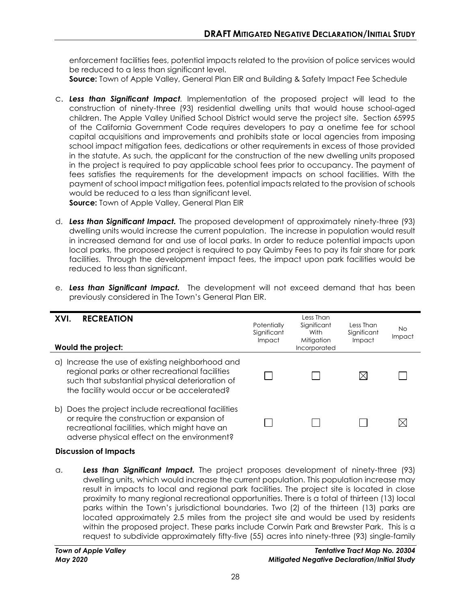enforcement facilities fees, potential impacts related to the provision of police services would be reduced to a less than significant level.

**Source:** Town of Apple Valley, General Plan EIR and Building & Safety Impact Fee Schedule

c. *Less than Significant Impact.* Implementation of the proposed project will lead to the construction of ninety-three (93) residential dwelling units that would house school-aged children. The Apple Valley Unified School District would serve the project site. Section 65995 of the California Government Code requires developers to pay a onetime fee for school capital acquisitions and improvements and prohibits state or local agencies from imposing school impact mitigation fees, dedications or other requirements in excess of those provided in the statute. As such, the applicant for the construction of the new dwelling units proposed in the project is required to pay applicable school fees prior to occupancy. The payment of fees satisfies the requirements for the development impacts on school facilities. With the payment of school impact mitigation fees, potential impacts related to the provision of schools would be reduced to a less than significant level. **Source:** Town of Apple Valley, General Plan EIR

- d. *Less than Significant Impact.* The proposed development of approximately ninety-three (93) dwelling units would increase the current population. The increase in population would result in increased demand for and use of local parks. In order to reduce potential impacts upon local parks, the proposed project is required to pay Quimby Fees to pay its fair share for park facilities. Through the development impact fees, the impact upon park facilities would be reduced to less than significant.
- e. *Less than Significant Impact.* The development will not exceed demand that has been previously considered in The Town's General Plan EIR.

| <b>RECREATION</b><br>XVI.<br>Would the project:                                                                                                                                                         | Potentially<br>Significant<br>Impact | Less Than<br>Significant<br>With<br>Mitigation<br>Incorporated | Less Than<br>Significant<br>Impact | No.<br>Impact |
|---------------------------------------------------------------------------------------------------------------------------------------------------------------------------------------------------------|--------------------------------------|----------------------------------------------------------------|------------------------------------|---------------|
| Increase the use of existing neighborhood and<br>a<br>regional parks or other recreational facilities<br>such that substantial physical deterioration of<br>the facility would occur or be accelerated? |                                      |                                                                |                                    |               |
| Does the project include recreational facilities<br>b)<br>or require the construction or expansion of<br>recreational facilities, which might have an<br>adverse physical effect on the environment?    |                                      |                                                                |                                    |               |

## **Discussion of Impacts**

a. *Less than Significant Impact.* The project proposes development of ninety-three (93) dwelling units, which would increase the current population. This population increase may result in impacts to local and regional park facilities. The project site is located in close proximity to many regional recreational opportunities. There is a total of thirteen (13) local parks within the Town's jurisdictional boundaries. Two (2) of the thirteen (13) parks are located approximately 2.5 miles from the project site and would be used by residents within the proposed project. These parks include Corwin Park and Brewster Park. This is a request to subdivide approximately fifty-five (55) acres into ninety-three (93) single-family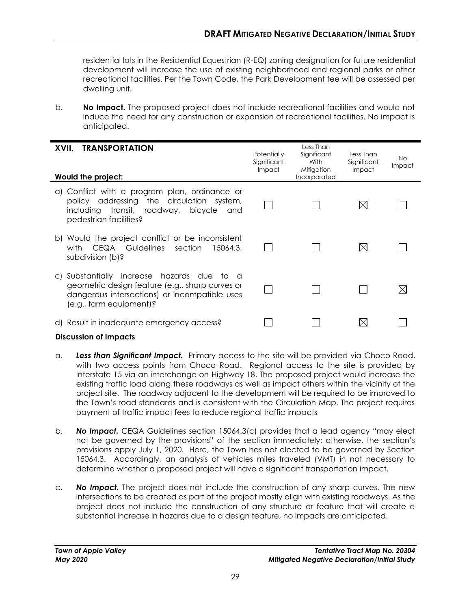residential lots in the Residential Equestrian (R-EQ) zoning designation for future residential development will increase the use of existing neighborhood and regional parks or other recreational facilities. Per the Town Code, the Park Development fee will be assessed per dwelling unit.

b. **No Impact.** The proposed project does not include recreational facilities and would not induce the need for any construction or expansion of recreational facilities. No impact is anticipated.

| <b>TRANSPORTATION</b><br>XVII.<br>Would the project:                                                                                                                                   | Potentially<br>Significant<br>Impact | Less Than<br>Significant<br>With<br>Mitigation<br>Incorporated | Less Than<br>Significant<br>Impact | <b>No</b><br><b>Impact</b> |
|----------------------------------------------------------------------------------------------------------------------------------------------------------------------------------------|--------------------------------------|----------------------------------------------------------------|------------------------------------|----------------------------|
| a) Conflict with a program plan, ordinance or<br>policy addressing the circulation system,<br>including transit, roadway,<br>bicycle<br>and<br>pedestrian facilities?                  |                                      |                                                                |                                    |                            |
| b) Would the project conflict or be inconsistent<br>with CEQA Guidelines section<br>15064.3.<br>subdivision (b)?                                                                       |                                      |                                                                |                                    |                            |
| Substantially increase hazards due to a<br>$\mathsf{C}$<br>geometric design feature (e.g., sharp curves or<br>dangerous intersections) or incompatible uses<br>(e.g., farm equipment)? |                                      |                                                                |                                    |                            |
| d) Result in inadequate emergency access?                                                                                                                                              |                                      |                                                                |                                    |                            |

#### **Discussion of Impacts**

- a. *Less than Significant Impact.* Primary access to the site will be provided via Choco Road, with two access points from Choco Road. Regional access to the site is provided by Interstate 15 via an interchange on Highway 18. The proposed project would increase the existing traffic load along these roadways as well as impact others within the vicinity of the project site. The roadway adjacent to the development will be required to be improved to the Town's road standards and is consistent with the Circulation Map. The project requires payment of traffic impact fees to reduce regional traffic impacts
- b. *No Impact.* CEQA Guidelines section 15064.3(c) provides that a lead agency "may elect not be governed by the provisions" of the section immediately; otherwise, the section's provisions apply July 1, 2020. Here, the Town has not elected to be governed by Section 15064.3. Accordingly, an analysis of vehicles miles traveled (VMT) in not necessary to determine whether a proposed project will have a significant transportation impact.
- c. *No Impact.* The project does not include the construction of any sharp curves. The new intersections to be created as part of the project mostly align with existing roadways. As the project does not include the construction of any structure or feature that will create a substantial increase in hazards due to a design feature, no impacts are anticipated.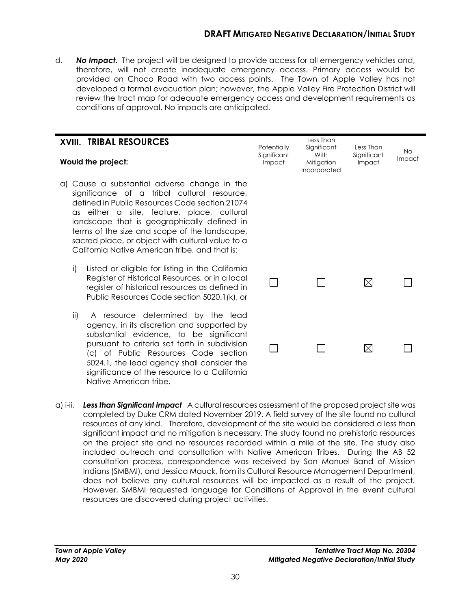d. *No Impact.* The project will be designed to provide access for all emergency vehicles and, therefore, will not create inadequate emergency access. Primary access would be provided on Choco Road with two access points. The Town of Apple Valley has not developed a formal evacuation plan; however, the Apple Valley Fire Protection District will review the tract map for adequate emergency access and development requirements as conditions of approval. No impacts are anticipated.

| <b>XVIII. TRIBAL RESOURCES</b><br>Would the project:                                                                                                                                                                                                                                                                                                                                                 | Potentially<br>Significant<br>Impact | Less Than<br>Significant<br>With<br>Mitigation<br>Incorporated | Less Than<br>Significant<br>Impact | No.<br>Impact |
|------------------------------------------------------------------------------------------------------------------------------------------------------------------------------------------------------------------------------------------------------------------------------------------------------------------------------------------------------------------------------------------------------|--------------------------------------|----------------------------------------------------------------|------------------------------------|---------------|
| a) Cause a substantial adverse change in the<br>significance of a tribal cultural resource,<br>defined in Public Resources Code section 21074<br>either a site, feature, place, cultural<br>as<br>landscape that is geographically defined in<br>terms of the size and scope of the landscape,<br>sacred place, or object with cultural value to a<br>California Native American tribe, and that is: |                                      |                                                                |                                    |               |
| i)<br>Listed or eligible for listing in the California<br>Register of Historical Resources, or in a local<br>register of historical resources as defined in<br>Public Resources Code section 5020.1(k), or                                                                                                                                                                                           |                                      |                                                                | $\boxtimes$                        |               |
| ii)<br>A resource determined by the lead<br>agency, in its discretion and supported by<br>substantial evidence, to be significant<br>pursuant to criteria set forth in subdivision<br>(c) of Public Resources Code section<br>5024.1, the lead agency shall consider the<br>significance of the resource to a California                                                                             |                                      |                                                                | $\boxtimes$                        |               |

a) i-ii. *Less than Significant Impact*A cultural resources assessment of the proposed project site was completed by Duke CRM dated November 2019. A field survey of the site found no cultural resources of any kind. Therefore, development of the site would be considered a less than significant impact and no mitigation is necessary. The study found no prehistoric resources on the project site and no resources recorded within a mile of the site. The study also included outreach and consultation with Native American Tribes. During the AB 52 consultation process, correspondence was received by San Manuel Band of Mission Indians (SMBMI), and Jessica Mauck, from its Cultural Resource Management Department, does not believe any cultural resources will be impacted as a result of the project. However, SMBMI requested language for Conditions of Approval in the event cultural resources are discovered during project activities.

Native American tribe.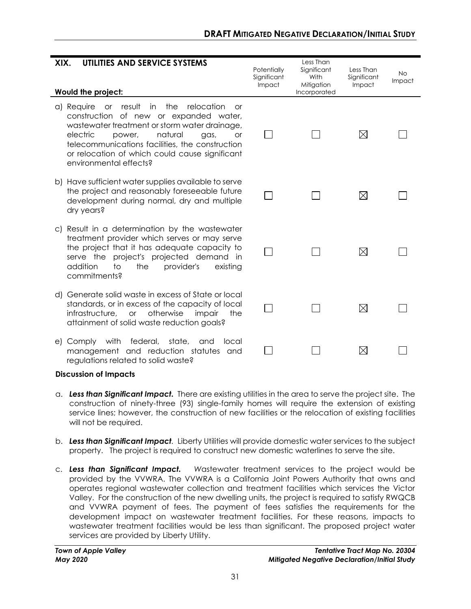| UTILITIES AND SERVICE SYSTEMS<br>XIX.                                                                                                                                                                                                                                                                                                   | Potentially<br>Significant | Less Than<br>Significant<br>With | Less Than<br>Significant | <b>No</b> |
|-----------------------------------------------------------------------------------------------------------------------------------------------------------------------------------------------------------------------------------------------------------------------------------------------------------------------------------------|----------------------------|----------------------------------|--------------------------|-----------|
| Would the project:                                                                                                                                                                                                                                                                                                                      | Impact                     | Mitigation<br>Incorporated       | Impact                   | Impact    |
| result<br>the<br>relocation<br>a) Require<br>or<br>in in<br>Ωr<br>construction of new or expanded water,<br>wastewater treatment or storm water drainage,<br>electric<br>natural<br>power,<br>gas,<br>or<br>telecommunications facilities, the construction<br>or relocation of which could cause significant<br>environmental effects? |                            |                                  | $\boxtimes$              |           |
| b) Have sufficient water supplies available to serve<br>the project and reasonably foreseeable future<br>development during normal, dry and multiple<br>dry years?                                                                                                                                                                      |                            |                                  | ⊠                        |           |
| Result in a determination by the wastewater<br>$\circ$<br>treatment provider which serves or may serve<br>the project that it has adequate capacity to<br>serve the<br>project's projected demand in<br>addition<br>to<br>the<br>provider's<br>existing<br>commitments?                                                                 |                            |                                  | $\boxtimes$              |           |
| d) Generate solid waste in excess of State or local<br>standards, or in excess of the capacity of local<br>otherwise<br>infrastructure.<br>impair<br>$\alpha$<br>the<br>attainment of solid waste reduction goals?                                                                                                                      |                            |                                  | $\boxtimes$              |           |
| e) Comply with federal,<br>state,<br>and<br>local<br>management and reduction statutes and<br>regulations related to solid waste?                                                                                                                                                                                                       |                            |                                  | $\boxtimes$              |           |

- a. *Less than Significant Impact.* There are existing utilities in the area to serve the project site. The construction of ninety-three (93) single-family homes will require the extension of existing service lines; however, the construction of new facilities or the relocation of existing facilities will not be required.
- b. *Less than Significant Impact.* Liberty Utilities will provide domestic water services to the subject property. The project is required to construct new domestic waterlines to serve the site.
- c. *Less than Significant Impact. W*astewater treatment services to the project would be provided by the VVWRA. The VVWRA is a California Joint Powers Authority that owns and operates regional wastewater collection and treatment facilities which services the Victor Valley. For the construction of the new dwelling units, the project is required to satisfy RWQCB and VVWRA payment of fees. The payment of fees satisfies the requirements for the development impact on wastewater treatment facilities. For these reasons, impacts to wastewater treatment facilities would be less than significant. The proposed project water services are provided by Liberty Utility.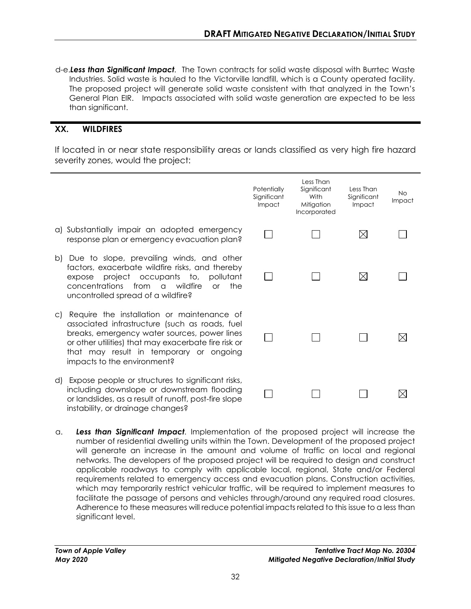d-e.*Less than Significant Impact.* The Town contracts for solid waste disposal with Burrtec Waste Industries. Solid waste is hauled to the Victorville landfill, which is a County operated facility. The proposed project will generate solid waste consistent with that analyzed in the Town's General Plan EIR. Impacts associated with solid waste generation are expected to be less than significant.

# **XX. WILDFIRES**

If located in or near state responsibility areas or lands classified as very high fire hazard severity zones, would the project:

- Less Than **Potentially** Significant Less Than No **Significant With Significant** Impact Impact **Mitigation** Impact Incorporated a) Substantially impair an adopted emergency П  $\Box$  $\boxtimes$  $\Box$ response plan or emergency evacuation plan? b) Due to slope, prevailing winds, and other factors, exacerbate wildfire risks, and thereby П П ⊠ П expose project occupants to, pollutant concentrations from a wildfire or the uncontrolled spread of a wildfire? c) Require the installation or maintenance of associated infrastructure (such as roads, fuel breaks, emergency water sources, power lines П  $\Box$ П ⊠ or other utilities) that may exacerbate fire risk or that may result in temporary or ongoing impacts to the environment? d) Expose people or structures to significant risks, including downslope or downstream flooding  $\Box$  $\Box$  $\Box$ ⊠ or landslides, as a result of runoff, post-fire slope instability, or drainage changes?
- a. *Less than Significant Impact.* Implementation of the proposed project will increase the number of residential dwelling units within the Town. Development of the proposed project will generate an increase in the amount and volume of traffic on local and regional networks. The developers of the proposed project will be required to design and construct applicable roadways to comply with applicable local, regional, State and/or Federal requirements related to emergency access and evacuation plans. Construction activities, which may temporarily restrict vehicular traffic, will be required to implement measures to facilitate the passage of persons and vehicles through/around any required road closures. Adherence to these measures will reduce potential impacts related to this issue to a less than significant level.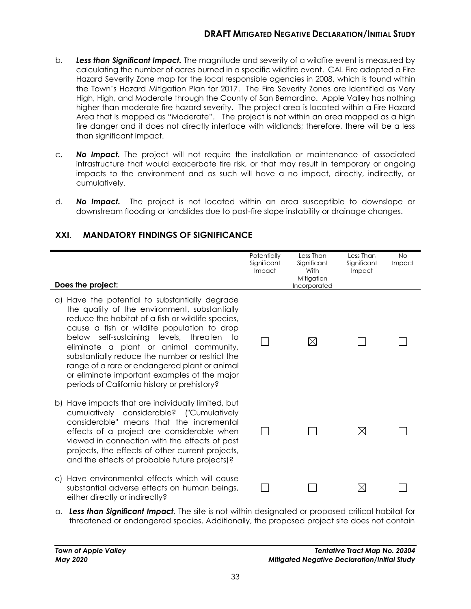- b. *Less than Significant Impact.* The magnitude and severity of a wildfire event is measured by calculating the number of acres burned in a specific wildfire event. CAL Fire adopted a Fire Hazard Severity Zone map for the local responsible agencies in 2008, which is found within the Town's Hazard Mitigation Plan for 2017. The Fire Severity Zones are identified as Very High, High, and Moderate through the County of San Bernardino. Apple Valley has nothing higher than moderate fire hazard severity. The project area is located within a Fire Hazard Area that is mapped as "Moderate". The project is not within an area mapped as a high fire danger and it does not directly interface with wildlands; therefore, there will be a less than significant impact.
- c. *No Impact.* The project will not require the installation or maintenance of associated infrastructure that would exacerbate fire risk, or that may result in temporary or ongoing impacts to the environment and as such will have a no impact, directly, indirectly, or cumulatively.
- d. *No Impact.* The project is not located within an area susceptible to downslope or downstream flooding or landslides due to post-fire slope instability or drainage changes.

| Does the project:                                                                                                                                                                                                                                                                                                                                                                                                                                                                              | Potentially<br>Significant<br>Impact | Less Than<br>Significant<br>With<br>Mitigation<br>Incorporated | Less Than<br>Significant<br>Impact | <b>No</b><br>Impact |
|------------------------------------------------------------------------------------------------------------------------------------------------------------------------------------------------------------------------------------------------------------------------------------------------------------------------------------------------------------------------------------------------------------------------------------------------------------------------------------------------|--------------------------------------|----------------------------------------------------------------|------------------------------------|---------------------|
| a) Have the potential to substantially degrade<br>the quality of the environment, substantially<br>reduce the habitat of a fish or wildlife species,<br>cause a fish or wildlife population to drop<br>below self-sustaining levels, threaten to<br>eliminate a plant or animal community,<br>substantially reduce the number or restrict the<br>range of a rare or endangered plant or animal<br>or eliminate important examples of the major<br>periods of California history or prehistory? |                                      | $\boxtimes$                                                    |                                    |                     |
| b) Have impacts that are individually limited, but<br>cumulatively considerable? ("Cumulatively<br>considerable" means that the incremental<br>effects of a project are considerable when<br>viewed in connection with the effects of past<br>projects, the effects of other current projects,<br>and the effects of probable future projects)?                                                                                                                                                |                                      |                                                                | $\boxtimes$                        |                     |
| c) Have environmental effects which will cause<br>substantial adverse effects on human beings,<br>either directly or indirectly?                                                                                                                                                                                                                                                                                                                                                               |                                      |                                                                | $\boxtimes$                        |                     |

# **XXI. MANDATORY FINDINGS OF SIGNIFICANCE**

a. *Less than Significant Impact.* The site is not within designated or proposed critical habitat for threatened or endangered species. Additionally, the proposed project site does not contain